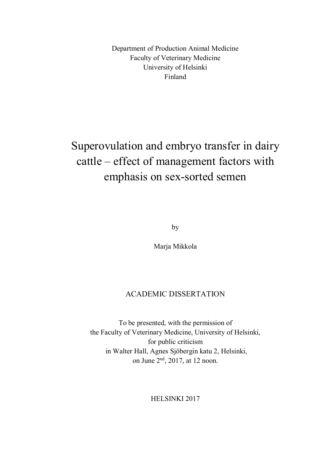Department of Production Animal Medicine Faculty of Veterinary Medicine University of Helsinki Finland

# Superovulation and embryo transfer in dairy cattle – effect of management factors with emphasis on sex-sorted semen

by

Marja Mikkola

### ACADEMIC DISSERTATION

To be presented, with the permission of the Faculty of Veterinary Medicine, University of Helsinki, for public criticism in Walter Hall, Agnes Sjöbergin katu 2, Helsinki, on June 2nd, 2017, at 12 noon.

HELSINKI 2017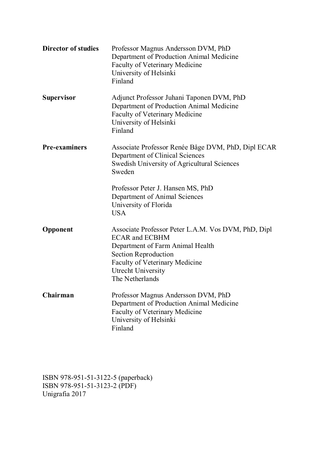| <b>Director of studies</b> | Professor Magnus Andersson DVM, PhD<br>Department of Production Animal Medicine<br>Faculty of Veterinary Medicine<br>University of Helsinki<br>Finland                                                                     |  |  |
|----------------------------|----------------------------------------------------------------------------------------------------------------------------------------------------------------------------------------------------------------------------|--|--|
| <b>Supervisor</b>          | Adjunct Professor Juhani Taponen DVM, PhD<br>Department of Production Animal Medicine<br>Faculty of Veterinary Medicine<br>University of Helsinki<br>Finland                                                               |  |  |
| <b>Pre-examiners</b>       | Associate Professor Renée Båge DVM, PhD, Dipl ECAR<br>Department of Clinical Sciences<br>Swedish University of Agricultural Sciences<br>Sweden                                                                             |  |  |
|                            | Professor Peter J. Hansen MS, PhD<br>Department of Animal Sciences<br>University of Florida<br><b>USA</b>                                                                                                                  |  |  |
| Opponent                   | Associate Professor Peter L.A.M. Vos DVM, PhD, Dipl<br><b>ECAR and ECBHM</b><br>Department of Farm Animal Health<br><b>Section Reproduction</b><br>Faculty of Veterinary Medicine<br>Utrecht University<br>The Netherlands |  |  |
| Chairman                   | Professor Magnus Andersson DVM, PhD<br>Department of Production Animal Medicine<br>Faculty of Veterinary Medicine<br>University of Helsinki<br>Finland                                                                     |  |  |

ISBN 978-951-51-3122-5 (paperback) ISBN 978-951-51-3123-2 (PDF) Unigrafia 2017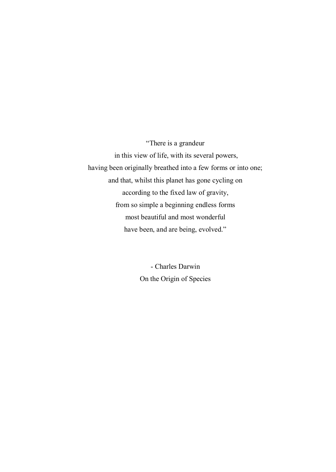"There is a grandeur in this view of life, with its several powers, having been originally breathed into a few forms or into one; and that, whilst this planet has gone cycling on according to the fixed law of gravity, from so simple a beginning endless forms most beautiful and most wonderful have been, and are being, evolved."

> - Charles Darwin On the Origin of Species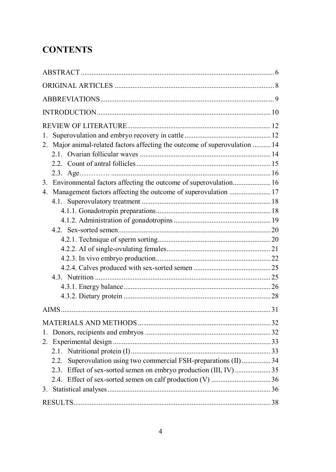# **CONTENTS**

| 1.                                                                                  |  |
|-------------------------------------------------------------------------------------|--|
| Major animal-related factors affecting the outcome of superovulation  14<br>$2_{-}$ |  |
|                                                                                     |  |
|                                                                                     |  |
|                                                                                     |  |
|                                                                                     |  |
| 4. Management factors affecting the outcome of superovulation  17                   |  |
|                                                                                     |  |
|                                                                                     |  |
|                                                                                     |  |
|                                                                                     |  |
|                                                                                     |  |
|                                                                                     |  |
|                                                                                     |  |
|                                                                                     |  |
|                                                                                     |  |
|                                                                                     |  |
|                                                                                     |  |
|                                                                                     |  |
|                                                                                     |  |
| $1_{-}$                                                                             |  |
|                                                                                     |  |
|                                                                                     |  |
| 2.2.                                                                                |  |
| Superovulation using two commercial FSH-preparations (II)  34                       |  |
|                                                                                     |  |
|                                                                                     |  |
|                                                                                     |  |
|                                                                                     |  |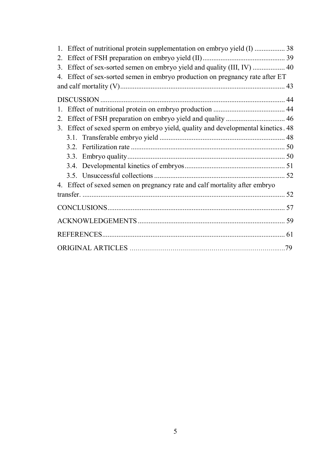| 1. Effect of nutritional protein supplementation on embryo yield (I)  38         |  |
|----------------------------------------------------------------------------------|--|
|                                                                                  |  |
| 3. Effect of sex-sorted semen on embryo yield and quality (III, IV)  40          |  |
| 4. Effect of sex-sorted semen in embryo production on pregnancy rate after ET    |  |
|                                                                                  |  |
|                                                                                  |  |
|                                                                                  |  |
|                                                                                  |  |
| 3. Effect of sexed sperm on embryo yield, quality and developmental kinetics. 48 |  |
|                                                                                  |  |
|                                                                                  |  |
|                                                                                  |  |
|                                                                                  |  |
|                                                                                  |  |
| 4. Effect of sexed semen on pregnancy rate and calf mortality after embryo       |  |
|                                                                                  |  |
|                                                                                  |  |
|                                                                                  |  |
|                                                                                  |  |
|                                                                                  |  |
|                                                                                  |  |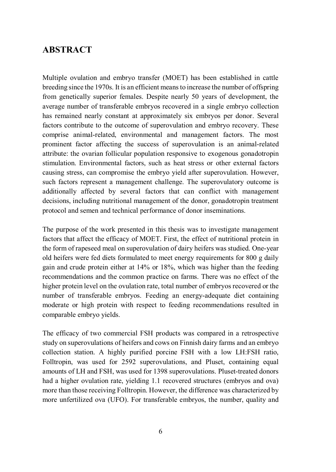## **ABSTRACT**

Multiple ovulation and embryo transfer (MOET) has been established in cattle breeding since the 1970s. It is an efficient means to increase the number of offspring from genetically superior females. Despite nearly 50 years of development, the average number of transferable embryos recovered in a single embryo collection has remained nearly constant at approximately six embryos per donor. Several factors contribute to the outcome of superovulation and embryo recovery. These comprise animal-related, environmental and management factors. The most prominent factor affecting the success of superovulation is an animal-related attribute: the ovarian follicular population responsive to exogenous gonadotropin stimulation. Environmental factors, such as heat stress or other external factors causing stress, can compromise the embryo yield after superovulation. However, such factors represent a management challenge. The superovulatory outcome is additionally affected by several factors that can conflict with management decisions, including nutritional management of the donor, gonadotropin treatment protocol and semen and technical performance of donor inseminations.

The purpose of the work presented in this thesis was to investigate management factors that affect the efficacy of MOET. First, the effect of nutritional protein in the form of rapeseed meal on superovulation of dairy heifers was studied. One-year old heifers were fed diets formulated to meet energy requirements for 800 g daily gain and crude protein either at 14% or 18%, which was higher than the feeding recommendations and the common practice on farms. There was no effect of the higher protein level on the ovulation rate, total number of embryos recovered or the number of transferable embryos. Feeding an energy-adequate diet containing moderate or high protein with respect to feeding recommendations resulted in comparable embryo yields.

The efficacy of two commercial FSH products was compared in a retrospective study on superovulations of heifers and cows on Finnish dairy farms and an embryo collection station. A highly purified porcine FSH with a low LH:FSH ratio, Folltropin, was used for 2592 superovulations, and Pluset, containing equal amounts of LH and FSH, was used for 1398 superovulations. Pluset-treated donors had a higher ovulation rate, yielding 1.1 recovered structures (embryos and ova) more than those receiving Folltropin. However, the difference was characterized by more unfertilized ova (UFO). For transferable embryos, the number, quality and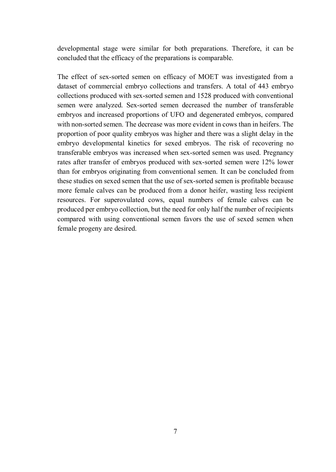developmental stage were similar for both preparations. Therefore, it can be concluded that the efficacy of the preparations is comparable.

The effect of sex-sorted semen on efficacy of MOET was investigated from a dataset of commercial embryo collections and transfers. A total of 443 embryo collections produced with sex-sorted semen and 1528 produced with conventional semen were analyzed. Sex-sorted semen decreased the number of transferable embryos and increased proportions of UFO and degenerated embryos, compared with non-sorted semen. The decrease was more evident in cows than in heifers. The proportion of poor quality embryos was higher and there was a slight delay in the embryo developmental kinetics for sexed embryos. The risk of recovering no transferable embryos was increased when sex-sorted semen was used. Pregnancy rates after transfer of embryos produced with sex-sorted semen were 12% lower than for embryos originating from conventional semen. It can be concluded from these studies on sexed semen that the use of sex-sorted semen is profitable because more female calves can be produced from a donor heifer, wasting less recipient resources. For superovulated cows, equal numbers of female calves can be produced per embryo collection, but the need for only half the number of recipients compared with using conventional semen favors the use of sexed semen when female progeny are desired.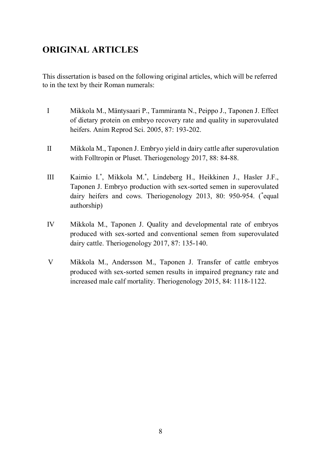# **ORIGINAL ARTICLES**

This dissertation is based on the following original articles, which will be referred to in the text by their Roman numerals:

- I Mikkola M., Mäntysaari P., Tammiranta N., Peippo J., Taponen J. Effect of dietary protein on embryo recovery rate and quality in superovulated heifers. Anim Reprod Sci. 2005, 87: 193-202.
- II Mikkola M., Taponen J. Embryo yield in dairy cattle after superovulation with Folltropin or Pluset. Theriogenology 2017, 88: 84-88.
- III Kaimio I.\* , Mikkola M.\* , Lindeberg H., Heikkinen J., Hasler J.F., Taponen J. Embryo production with sex-sorted semen in superovulated dairy heifers and cows. Theriogenology 2013, 80: 950-954. (\*equal authorship)
- IV Mikkola M., Taponen J. Quality and developmental rate of embryos produced with sex-sorted and conventional semen from superovulated dairy cattle. Theriogenology 2017, 87: 135-140.
- V Mikkola M., Andersson M., Taponen J. Transfer of cattle embryos produced with sex-sorted semen results in impaired pregnancy rate and increased male calf mortality. Theriogenology 2015, 84: 1118-1122.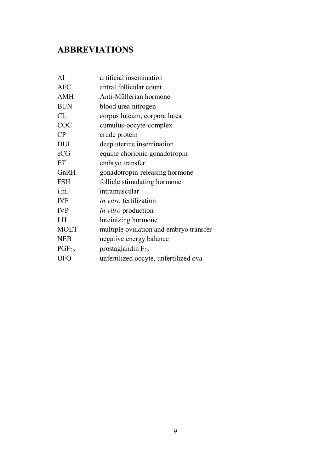# **ABBREVIATIONS**

| ΑI              | artificial insemination                |
|-----------------|----------------------------------------|
| AFC             | antral follicular count                |
| AMH             | Anti-Müllerian hormone                 |
| <b>BUN</b>      | blood urea nitrogen                    |
| CL              | corpus luteum, corpora lutea           |
| COC             | cumulus-oocyte-complex                 |
| CP              | crude protein                          |
| <b>DUI</b>      | deep uterine insemination              |
| eCG             | equine chorionic gonadotropin          |
| ET              | embryo transfer                        |
| GnRH            | gonadotropin-releasing hormone         |
| <b>FSH</b>      | follicle stimulating hormone           |
| i.m.            | intramuscular                          |
| <b>IVF</b>      | in vitro fertilization                 |
| <b>IVP</b>      | <i>in vitro</i> production             |
| LH              | luteinizing hormone                    |
| <b>MOET</b>     | multiple ovulation and embryo transfer |
| <b>NEB</b>      | negative energy balance                |
| $PGF_{2\alpha}$ | prostaglandin $F_{2\alpha}$            |
| <b>UFO</b>      | unfertilized oocyte, unfertilized ova  |
|                 |                                        |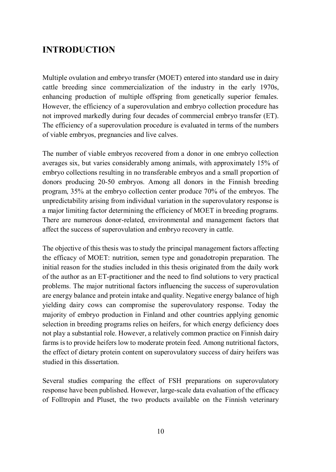# **INTRODUCTION**

Multiple ovulation and embryo transfer (MOET) entered into standard use in dairy cattle breeding since commercialization of the industry in the early 1970s, enhancing production of multiple offspring from genetically superior females. However, the efficiency of a superovulation and embryo collection procedure has not improved markedly during four decades of commercial embryo transfer (ET). The efficiency of a superovulation procedure is evaluated in terms of the numbers of viable embryos, pregnancies and live calves.

The number of viable embryos recovered from a donor in one embryo collection averages six, but varies considerably among animals, with approximately 15% of embryo collections resulting in no transferable embryos and a small proportion of donors producing 20-50 embryos. Among all donors in the Finnish breeding program, 35% at the embryo collection center produce 70% of the embryos. The unpredictability arising from individual variation in the superovulatory response is a major limiting factor determining the efficiency of MOET in breeding programs. There are numerous donor-related, environmental and management factors that affect the success of superovulation and embryo recovery in cattle.

The objective of this thesis was to study the principal management factors affecting the efficacy of MOET: nutrition, semen type and gonadotropin preparation. The initial reason for the studies included in this thesis originated from the daily work of the author as an ET-practitioner and the need to find solutions to very practical problems. The major nutritional factors influencing the success of superovulation are energy balance and protein intake and quality. Negative energy balance of high yielding dairy cows can compromise the superovulatory response. Today the majority of embryo production in Finland and other countries applying genomic selection in breeding programs relies on heifers, for which energy deficiency does not play a substantial role. However, a relatively common practice on Finnish dairy farms is to provide heifers low to moderate protein feed. Among nutritional factors, the effect of dietary protein content on superovulatory success of dairy heifers was studied in this dissertation.

Several studies comparing the effect of FSH preparations on superovulatory response have been published. However, large-scale data evaluation of the efficacy of Folltropin and Pluset, the two products available on the Finnish veterinary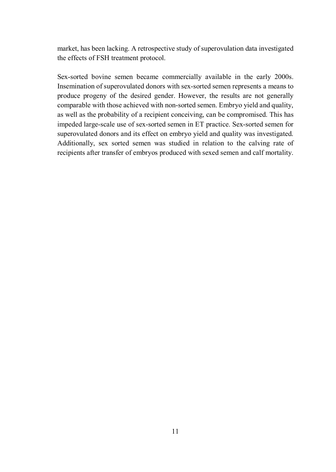market, has been lacking. A retrospective study of superovulation data investigated the effects of FSH treatment protocol.

Sex-sorted bovine semen became commercially available in the early 2000s. Insemination of superovulated donors with sex-sorted semen represents a means to produce progeny of the desired gender. However, the results are not generally comparable with those achieved with non-sorted semen. Embryo yield and quality, as well as the probability of a recipient conceiving, can be compromised. This has impeded large-scale use of sex-sorted semen in ET practice. Sex-sorted semen for superovulated donors and its effect on embryo yield and quality was investigated. Additionally, sex sorted semen was studied in relation to the calving rate of recipients after transfer of embryos produced with sexed semen and calf mortality.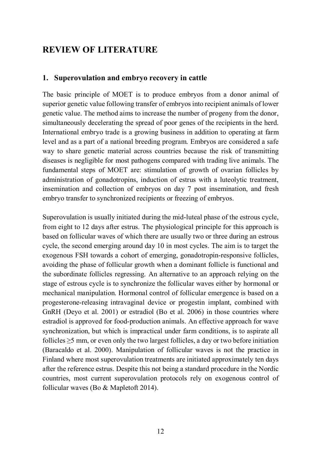# **REVIEW OF LITERATURE**

#### **1. Superovulation and embryo recovery in cattle**

The basic principle of MOET is to produce embryos from a donor animal of superior genetic value following transfer of embryos into recipient animals of lower genetic value. The method aims to increase the number of progeny from the donor, simultaneously decelerating the spread of poor genes of the recipients in the herd. International embryo trade is a growing business in addition to operating at farm level and as a part of a national breeding program. Embryos are considered a safe way to share genetic material across countries because the risk of transmitting diseases is negligible for most pathogens compared with trading live animals. The fundamental steps of MOET are: stimulation of growth of ovarian follicles by administration of gonadotropins, induction of estrus with a luteolytic treatment, insemination and collection of embryos on day 7 post insemination, and fresh embryo transfer to synchronized recipients or freezing of embryos.

Superovulation is usually initiated during the mid-luteal phase of the estrous cycle, from eight to 12 days after estrus. The physiological principle for this approach is based on follicular waves of which there are usually two or three during an estrous cycle, the second emerging around day 10 in most cycles. The aim is to target the exogenous FSH towards a cohort of emerging, gonadotropin-responsive follicles, avoiding the phase of follicular growth when a dominant follicle is functional and the subordinate follicles regressing. An alternative to an approach relying on the stage of estrous cycle is to synchronize the follicular waves either by hormonal or mechanical manipulation. Hormonal control of follicular emergence is based on a progesterone-releasing intravaginal device or progestin implant, combined with GnRH (Deyo et al. 2001) or estradiol (Bo et al. 2006) in those countries where estradiol is approved for food-production animals. An effective approach for wave synchronization, but which is impractical under farm conditions, is to aspirate all follicles  $\geq$ 5 mm, or even only the two largest follicles, a day or two before initiation (Baracaldo et al. 2000). Manipulation of follicular waves is not the practice in Finland where most superovulation treatments are initiated approximately ten days after the reference estrus. Despite this not being a standard procedure in the Nordic countries, most current superovulation protocols rely on exogenous control of follicular waves (Bo & Mapletoft 2014).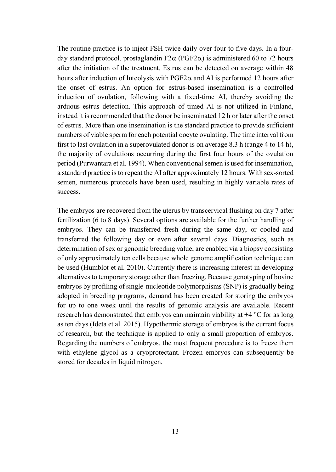The routine practice is to inject FSH twice daily over four to five days. In a fourday standard protocol, prostaglandin  $F2\alpha$  (PGF2 $\alpha$ ) is administered 60 to 72 hours after the initiation of the treatment. Estrus can be detected on average within 48 hours after induction of luteolysis with  $PGF2\alpha$  and AI is performed 12 hours after the onset of estrus. An option for estrus-based insemination is a controlled induction of ovulation, following with a fixed-time AI, thereby avoiding the arduous estrus detection. This approach of timed AI is not utilized in Finland, instead it is recommended that the donor be inseminated 12 h or later after the onset of estrus. More than one insemination is the standard practice to provide sufficient numbers of viable sperm for each potential oocyte ovulating. The time interval from first to last ovulation in a superovulated donor is on average 8.3 h (range 4 to 14 h), the majority of ovulations occurring during the first four hours of the ovulation period (Purwantara et al. 1994). When conventional semen is used for insemination, a standard practice is to repeat the AI after approximately 12 hours. With sex-sorted semen, numerous protocols have been used, resulting in highly variable rates of success.

The embryos are recovered from the uterus by transcervical flushing on day 7 after fertilization (6 to 8 days). Several options are available for the further handling of embryos. They can be transferred fresh during the same day, or cooled and transferred the following day or even after several days. Diagnostics, such as determination of sex or genomic breeding value, are enabled via a biopsy consisting of only approximately ten cells because whole genome amplification technique can be used (Humblot et al. 2010). Currently there is increasing interest in developing alternatives to temporary storage other than freezing. Because genotyping of bovine embryos by profiling of single-nucleotide polymorphisms (SNP) is gradually being adopted in breeding programs, demand has been created for storing the embryos for up to one week until the results of genomic analysis are available. Recent research has demonstrated that embryos can maintain viability at +4 °C for as long as ten days (Ideta et al. 2015). Hypothermic storage of embryos is the current focus of research, but the technique is applied to only a small proportion of embryos. Regarding the numbers of embryos, the most frequent procedure is to freeze them with ethylene glycol as a cryoprotectant. Frozen embryos can subsequently be stored for decades in liquid nitrogen.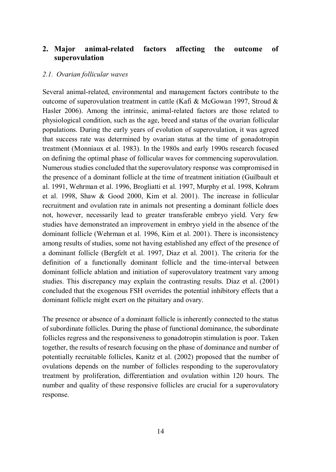### **2. Major animal-related factors affecting the outcome of superovulation**

#### *2.1. Ovarian follicular waves*

Several animal-related, environmental and management factors contribute to the outcome of superovulation treatment in cattle (Kafi & McGowan 1997, Stroud & Hasler 2006). Among the intrinsic, animal-related factors are those related to physiological condition, such as the age, breed and status of the ovarian follicular populations. During the early years of evolution of superovulation, it was agreed that success rate was determined by ovarian status at the time of gonadotropin treatment (Monniaux et al. 1983). In the 1980s and early 1990s research focused on defining the optimal phase of follicular waves for commencing superovulation. Numerous studies concluded that the superovulatory response was compromised in the presence of a dominant follicle at the time of treatment initiation (Guilbault et al. 1991, Wehrman et al. 1996, Brogliatti et al. 1997, Murphy et al. 1998, Kohram et al. 1998, Shaw & Good 2000, Kim et al. 2001). The increase in follicular recruitment and ovulation rate in animals not presenting a dominant follicle does not, however, necessarily lead to greater transferable embryo yield. Very few studies have demonstrated an improvement in embryo yield in the absence of the dominant follicle (Wehrman et al. 1996, Kim et al. 2001). There is inconsistency among results of studies, some not having established any effect of the presence of a dominant follicle (Bergfelt et al. 1997, Diaz et al. 2001). The criteria for the definition of a functionally dominant follicle and the time-interval between dominant follicle ablation and initiation of superovulatory treatment vary among studies. This discrepancy may explain the contrasting results. Diaz et al. (2001) concluded that the exogenous FSH overrides the potential inhibitory effects that a dominant follicle might exert on the pituitary and ovary.

The presence or absence of a dominant follicle is inherently connected to the status of subordinate follicles. During the phase of functional dominance, the subordinate follicles regress and the responsiveness to gonadotropin stimulation is poor. Taken together, the results of research focusing on the phase of dominance and number of potentially recruitable follicles, Kanitz et al. (2002) proposed that the number of ovulations depends on the number of follicles responding to the superovulatory treatment by proliferation, differentiation and ovulation within 120 hours. The number and quality of these responsive follicles are crucial for a superovulatory response.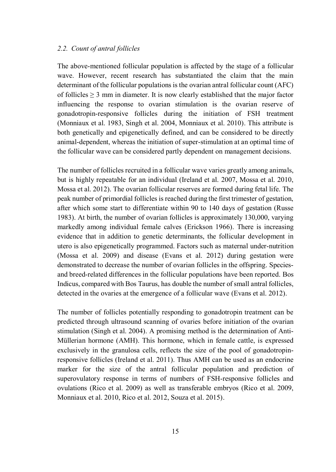#### *2.2. Count of antral follicles*

The above-mentioned follicular population is affected by the stage of a follicular wave. However, recent research has substantiated the claim that the main determinant of the follicular populations is the ovarian antral follicular count (AFC) of follicles  $\geq 3$  mm in diameter. It is now clearly established that the major factor influencing the response to ovarian stimulation is the ovarian reserve of gonadotropin-responsive follicles during the initiation of FSH treatment (Monniaux et al. 1983, Singh et al. 2004, Monniaux et al. 2010). This attribute is both genetically and epigenetically defined, and can be considered to be directly animal-dependent, whereas the initiation of super-stimulation at an optimal time of the follicular wave can be considered partly dependent on management decisions.

The number of follicles recruited in a follicular wave varies greatly among animals, but is highly repeatable for an individual (Ireland et al. 2007, Mossa et al. 2010, Mossa et al. 2012). The ovarian follicular reserves are formed during fetal life. The peak number of primordial follicles is reached during the first trimester of gestation, after which some start to differentiate within 90 to 140 days of gestation (Russe 1983). At birth, the number of ovarian follicles is approximately 130,000, varying markedly among individual female calves (Erickson 1966). There is increasing evidence that in addition to genetic determinants, the follicular development in utero is also epigenetically programmed. Factors such as maternal under-nutrition (Mossa et al. 2009) and disease (Evans et al. 2012) during gestation were demonstrated to decrease the number of ovarian follicles in the offspring. Speciesand breed-related differences in the follicular populations have been reported. Bos Indicus, compared with Bos Taurus, has double the number of small antral follicles, detected in the ovaries at the emergence of a follicular wave (Evans et al. 2012).

The number of follicles potentially responding to gonadotropin treatment can be predicted through ultrasound scanning of ovaries before initiation of the ovarian stimulation (Singh et al. 2004). A promising method is the determination of Anti-Müllerian hormone (AMH). This hormone, which in female cattle, is expressed exclusively in the granulosa cells, reflects the size of the pool of gonadotropinresponsive follicles (Ireland et al. 2011). Thus AMH can be used as an endocrine marker for the size of the antral follicular population and prediction of superovulatory response in terms of numbers of FSH-responsive follicles and ovulations (Rico et al. 2009) as well as transferable embryos (Rico et al. 2009, Monniaux et al. 2010, Rico et al. 2012, Souza et al. 2015).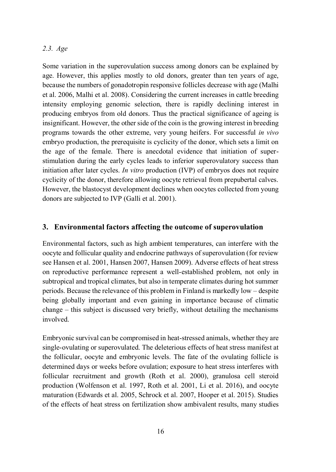#### *2.3. Age*

Some variation in the superovulation success among donors can be explained by age. However, this applies mostly to old donors, greater than ten years of age, because the numbers of gonadotropin responsive follicles decrease with age (Malhi et al. 2006, Malhi et al. 2008). Considering the current increases in cattle breeding intensity employing genomic selection, there is rapidly declining interest in producing embryos from old donors. Thus the practical significance of ageing is insignificant. However, the other side of the coin is the growing interest in breeding programs towards the other extreme, very young heifers. For successful *in vivo* embryo production, the prerequisite is cyclicity of the donor, which sets a limit on the age of the female. There is anecdotal evidence that initiation of superstimulation during the early cycles leads to inferior superovulatory success than initiation after later cycles. *In vitro* production (IVP) of embryos does not require cyclicity of the donor, therefore allowing oocyte retrieval from prepubertal calves. However, the blastocyst development declines when oocytes collected from young donors are subjected to IVP (Galli et al. 2001).

### **3. Environmental factors affecting the outcome of superovulation**

Environmental factors, such as high ambient temperatures, can interfere with the oocyte and follicular quality and endocrine pathways of superovulation (for review see Hansen et al. 2001, Hansen 2007, Hansen 2009). Adverse effects of heat stress on reproductive performance represent a well-established problem, not only in subtropical and tropical climates, but also in temperate climates during hot summer periods. Because the relevance of this problem in Finland is markedly low – despite being globally important and even gaining in importance because of climatic change – this subject is discussed very briefly, without detailing the mechanisms involved.

Embryonic survival can be compromised in heat-stressed animals, whether they are single-ovulating or superovulated. The deleterious effects of heat stress manifest at the follicular, oocyte and embryonic levels. The fate of the ovulating follicle is determined days or weeks before ovulation; exposure to heat stress interferes with follicular recruitment and growth (Roth et al. 2000), granulosa cell steroid production (Wolfenson et al. 1997, Roth et al. 2001, Li et al. 2016), and oocyte maturation (Edwards et al. 2005, Schrock et al. 2007, Hooper et al. 2015). Studies of the effects of heat stress on fertilization show ambivalent results, many studies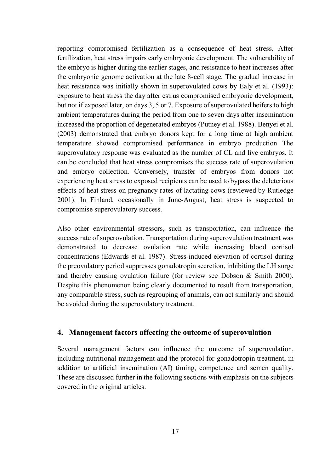reporting compromised fertilization as a consequence of heat stress. After fertilization, heat stress impairs early embryonic development. The vulnerability of the embryo is higher during the earlier stages, and resistance to heat increases after the embryonic genome activation at the late 8-cell stage. The gradual increase in heat resistance was initially shown in superovulated cows by Ealy et al. (1993): exposure to heat stress the day after estrus compromised embryonic development, but not if exposed later, on days 3, 5 or 7. Exposure of superovulated heifers to high ambient temperatures during the period from one to seven days after insemination increased the proportion of degenerated embryos (Putney et al. 1988). Benyei et al. (2003) demonstrated that embryo donors kept for a long time at high ambient temperature showed compromised performance in embryo production The superovulatory response was evaluated as the number of CL and live embryos. It can be concluded that heat stress compromises the success rate of superovulation and embryo collection. Conversely, transfer of embryos from donors not experiencing heat stress to exposed recipients can be used to bypass the deleterious effects of heat stress on pregnancy rates of lactating cows (reviewed by Rutledge 2001). In Finland, occasionally in June-August, heat stress is suspected to compromise superovulatory success.

Also other environmental stressors, such as transportation, can influence the success rate of superovulation. Transportation during superovulation treatment was demonstrated to decrease ovulation rate while increasing blood cortisol concentrations (Edwards et al. 1987). Stress-induced elevation of cortisol during the preovulatory period suppresses gonadotropin secretion, inhibiting the LH surge and thereby causing ovulation failure (for review see Dobson & Smith 2000). Despite this phenomenon being clearly documented to result from transportation, any comparable stress, such as regrouping of animals, can act similarly and should be avoided during the superovulatory treatment.

#### **4. Management factors affecting the outcome of superovulation**

Several management factors can influence the outcome of superovulation, including nutritional management and the protocol for gonadotropin treatment, in addition to artificial insemination (AI) timing, competence and semen quality. These are discussed further in the following sections with emphasis on the subjects covered in the original articles.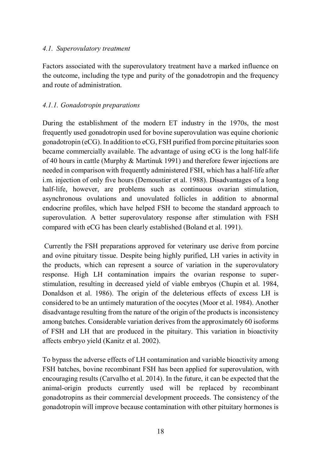#### *4.1. Superovulatory treatment*

Factors associated with the superovulatory treatment have a marked influence on the outcome, including the type and purity of the gonadotropin and the frequency and route of administration.

### *4.1.1. Gonadotropin preparations*

During the establishment of the modern ET industry in the 1970s, the most frequently used gonadotropin used for bovine superovulation was equine chorionic gonadotropin (eCG). In addition to eCG, FSH purified from porcine pituitaries soon became commercially available. The advantage of using eCG is the long half-life of 40 hours in cattle (Murphy & Martinuk 1991) and therefore fewer injections are needed in comparison with frequently administered FSH, which has a half-life after i.m. injection of only five hours (Demoustier et al. 1988). Disadvantages of a long half-life, however, are problems such as continuous ovarian stimulation, asynchronous ovulations and unovulated follicles in addition to abnormal endocrine profiles, which have helped FSH to become the standard approach to superovulation. A better superovulatory response after stimulation with FSH compared with eCG has been clearly established (Boland et al. 1991).

 Currently the FSH preparations approved for veterinary use derive from porcine and ovine pituitary tissue. Despite being highly purified, LH varies in activity in the products, which can represent a source of variation in the superovulatory response. High LH contamination impairs the ovarian response to superstimulation, resulting in decreased yield of viable embryos (Chupin et al. 1984, Donaldson et al. 1986). The origin of the deleterious effects of excess LH is considered to be an untimely maturation of the oocytes (Moor et al. 1984). Another disadvantage resulting from the nature of the origin of the products is inconsistency among batches. Considerable variation derives from the approximately 60 isoforms of FSH and LH that are produced in the pituitary. This variation in bioactivity affects embryo yield (Kanitz et al. 2002).

To bypass the adverse effects of LH contamination and variable bioactivity among FSH batches, bovine recombinant FSH has been applied for superovulation, with encouraging results (Carvalho et al. 2014). In the future, it can be expected that the animal-origin products currently used will be replaced by recombinant gonadotropins as their commercial development proceeds. The consistency of the gonadotropin will improve because contamination with other pituitary hormones is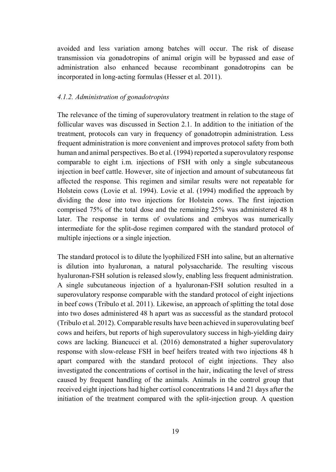avoided and less variation among batches will occur. The risk of disease transmission via gonadotropins of animal origin will be bypassed and ease of administration also enhanced because recombinant gonadotropins can be incorporated in long-acting formulas (Hesser et al. 2011).

#### *4.1.2. Administration of gonadotropins*

The relevance of the timing of superovulatory treatment in relation to the stage of follicular waves was discussed in Section 2.1. In addition to the initiation of the treatment, protocols can vary in frequency of gonadotropin administration. Less frequent administration is more convenient and improves protocol safety from both human and animal perspectives. Bo et al. (1994) reported a superovulatory response comparable to eight i.m. injections of FSH with only a single subcutaneous injection in beef cattle. However, site of injection and amount of subcutaneous fat affected the response. This regimen and similar results were not repeatable for Holstein cows (Lovie et al. 1994). Lovie et al. (1994) modified the approach by dividing the dose into two injections for Holstein cows. The first injection comprised 75% of the total dose and the remaining 25% was administered 48 h later. The response in terms of ovulations and embryos was numerically intermediate for the split-dose regimen compared with the standard protocol of multiple injections or a single injection.

The standard protocol is to dilute the lyophilized FSH into saline, but an alternative is dilution into hyaluronan, a natural polysaccharide. The resulting viscous hyaluronan-FSH solution is released slowly, enabling less frequent administration. A single subcutaneous injection of a hyaluronan-FSH solution resulted in a superovulatory response comparable with the standard protocol of eight injections in beef cows (Tribulo et al. 2011). Likewise, an approach of splitting the total dose into two doses administered 48 h apart was as successful as the standard protocol (Tribulo et al. 2012). Comparable results have been achieved in superovulating beef cows and heifers, but reports of high superovulatory success in high-yielding dairy cows are lacking. Biancucci et al. (2016) demonstrated a higher superovulatory response with slow-release FSH in beef heifers treated with two injections 48 h apart compared with the standard protocol of eight injections. They also investigated the concentrations of cortisol in the hair, indicating the level of stress caused by frequent handling of the animals. Animals in the control group that received eight injections had higher cortisol concentrations 14 and 21 days after the initiation of the treatment compared with the split-injection group. A question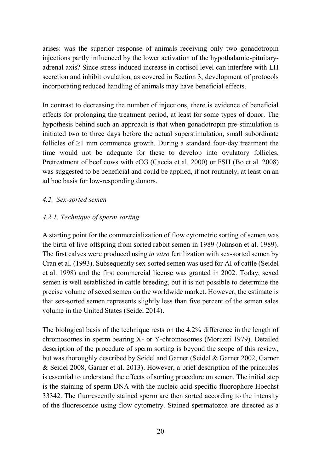arises: was the superior response of animals receiving only two gonadotropin injections partly influenced by the lower activation of the hypothalamic-pituitaryadrenal axis? Since stress-induced increase in cortisol level can interfere with LH secretion and inhibit ovulation, as covered in Section 3, development of protocols incorporating reduced handling of animals may have beneficial effects.

In contrast to decreasing the number of injections, there is evidence of beneficial effects for prolonging the treatment period, at least for some types of donor. The hypothesis behind such an approach is that when gonadotropin pre-stimulation is initiated two to three days before the actual superstimulation, small subordinate follicles of  $\geq 1$  mm commence growth. During a standard four-day treatment the time would not be adequate for these to develop into ovulatory follicles. Pretreatment of beef cows with eCG (Caccia et al. 2000) or FSH (Bo et al. 2008) was suggested to be beneficial and could be applied, if not routinely, at least on an ad hoc basis for low-responding donors.

### *4.2. Sex-sorted semen*

### *4.2.1. Technique of sperm sorting*

A starting point for the commercialization of flow cytometric sorting of semen was the birth of live offspring from sorted rabbit semen in 1989 (Johnson et al. 1989). The first calves were produced using *in vitro* fertilization with sex-sorted semen by Cran et al. (1993). Subsequently sex-sorted semen was used for AI of cattle (Seidel et al. 1998) and the first commercial license was granted in 2002. Today, sexed semen is well established in cattle breeding, but it is not possible to determine the precise volume of sexed semen on the worldwide market. However, the estimate is that sex-sorted semen represents slightly less than five percent of the semen sales volume in the United States (Seidel 2014).

The biological basis of the technique rests on the 4.2% difference in the length of chromosomes in sperm bearing X- or Y-chromosomes (Moruzzi 1979). Detailed description of the procedure of sperm sorting is beyond the scope of this review, but was thoroughly described by Seidel and Garner (Seidel & Garner 2002, Garner & Seidel 2008, Garner et al. 2013). However, a brief description of the principles is essential to understand the effects of sorting procedure on semen. The initial step is the staining of sperm DNA with the nucleic acid-specific fluorophore Hoechst 33342. The fluorescently stained sperm are then sorted according to the intensity of the fluorescence using flow cytometry. Stained spermatozoa are directed as a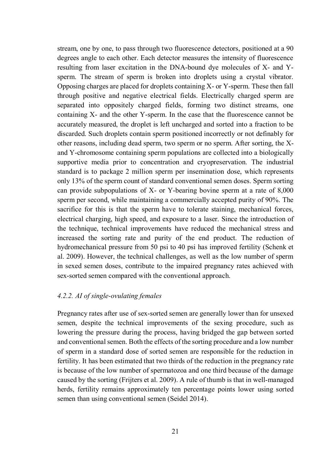stream, one by one, to pass through two fluorescence detectors, positioned at a 90 degrees angle to each other. Each detector measures the intensity of fluorescence resulting from laser excitation in the DNA-bound dye molecules of X- and Ysperm. The stream of sperm is broken into droplets using a crystal vibrator. Opposing charges are placed for droplets containing X- or Y-sperm. These then fall through positive and negative electrical fields. Electrically charged sperm are separated into oppositely charged fields, forming two distinct streams, one containing X- and the other Y-sperm. In the case that the fluorescence cannot be accurately measured, the droplet is left uncharged and sorted into a fraction to be discarded. Such droplets contain sperm positioned incorrectly or not definably for other reasons, including dead sperm, two sperm or no sperm. After sorting, the Xand Y-chromosome containing sperm populations are collected into a biologically supportive media prior to concentration and cryopreservation. The industrial standard is to package 2 million sperm per insemination dose, which represents only 13% of the sperm count of standard conventional semen doses. Sperm sorting can provide subpopulations of X- or Y-bearing bovine sperm at a rate of 8,000 sperm per second, while maintaining a commercially accepted purity of 90%. The sacrifice for this is that the sperm have to tolerate staining, mechanical forces, electrical charging, high speed, and exposure to a laser. Since the introduction of the technique, technical improvements have reduced the mechanical stress and increased the sorting rate and purity of the end product. The reduction of hydromechanical pressure from 50 psi to 40 psi has improved fertility (Schenk et al. 2009). However, the technical challenges, as well as the low number of sperm in sexed semen doses, contribute to the impaired pregnancy rates achieved with sex-sorted semen compared with the conventional approach.

#### *4.2.2. AI of single-ovulating females*

Pregnancy rates after use of sex-sorted semen are generally lower than for unsexed semen, despite the technical improvements of the sexing procedure, such as lowering the pressure during the process, having bridged the gap between sorted and conventional semen. Both the effects of the sorting procedure and a low number of sperm in a standard dose of sorted semen are responsible for the reduction in fertility. It has been estimated that two thirds of the reduction in the pregnancy rate is because of the low number of spermatozoa and one third because of the damage caused by the sorting (Frijters et al. 2009). A rule of thumb is that in well-managed herds, fertility remains approximately ten percentage points lower using sorted semen than using conventional semen (Seidel 2014).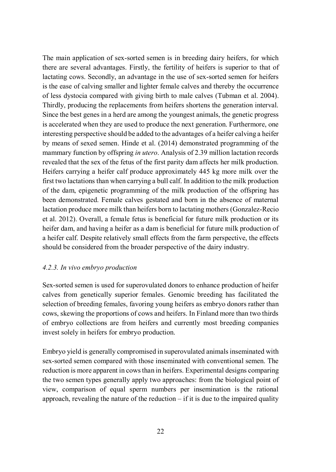The main application of sex-sorted semen is in breeding dairy heifers, for which there are several advantages. Firstly, the fertility of heifers is superior to that of lactating cows. Secondly, an advantage in the use of sex-sorted semen for heifers is the ease of calving smaller and lighter female calves and thereby the occurrence of less dystocia compared with giving birth to male calves (Tubman et al. 2004). Thirdly, producing the replacements from heifers shortens the generation interval. Since the best genes in a herd are among the youngest animals, the genetic progress is accelerated when they are used to produce the next generation. Furthermore, one interesting perspective should be added to the advantages of a heifer calving a heifer by means of sexed semen. Hinde et al. (2014) demonstrated programming of the mammary function by offspring *in utero*. Analysis of 2.39 million lactation records revealed that the sex of the fetus of the first parity dam affects her milk production. Heifers carrying a heifer calf produce approximately 445 kg more milk over the first two lactations than when carrying a bull calf. In addition to the milk production of the dam, epigenetic programming of the milk production of the offspring has been demonstrated. Female calves gestated and born in the absence of maternal lactation produce more milk than heifers born to lactating mothers (Gonzalez-Recio et al. 2012). Overall, a female fetus is beneficial for future milk production or its heifer dam, and having a heifer as a dam is beneficial for future milk production of a heifer calf. Despite relatively small effects from the farm perspective, the effects should be considered from the broader perspective of the dairy industry.

#### *4.2.3. In vivo embryo production*

Sex-sorted semen is used for superovulated donors to enhance production of heifer calves from genetically superior females. Genomic breeding has facilitated the selection of breeding females, favoring young heifers as embryo donors rather than cows, skewing the proportions of cows and heifers. In Finland more than two thirds of embryo collections are from heifers and currently most breeding companies invest solely in heifers for embryo production.

Embryo yield is generally compromised in superovulated animals inseminated with sex-sorted semen compared with those inseminated with conventional semen. The reduction is more apparent in cows than in heifers. Experimental designs comparing the two semen types generally apply two approaches: from the biological point of view, comparison of equal sperm numbers per insemination is the rational approach, revealing the nature of the reduction  $-$  if it is due to the impaired quality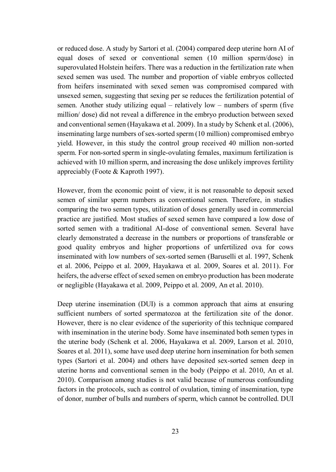or reduced dose. A study by Sartori et al. (2004) compared deep uterine horn AI of equal doses of sexed or conventional semen (10 million sperm/dose) in superovulated Holstein heifers. There was a reduction in the fertilization rate when sexed semen was used. The number and proportion of viable embryos collected from heifers inseminated with sexed semen was compromised compared with unsexed semen, suggesting that sexing per se reduces the fertilization potential of semen. Another study utilizing equal – relatively low – numbers of sperm (five million/ dose) did not reveal a difference in the embryo production between sexed and conventional semen (Hayakawa et al. 2009). In a study by Schenk et al. (2006), inseminating large numbers of sex-sorted sperm (10 million) compromised embryo yield. However, in this study the control group received 40 million non-sorted sperm. For non-sorted sperm in single-ovulating females, maximum fertilization is achieved with 10 million sperm, and increasing the dose unlikely improves fertility appreciably (Foote & Kaproth 1997).

However, from the economic point of view, it is not reasonable to deposit sexed semen of similar sperm numbers as conventional semen. Therefore, in studies comparing the two semen types, utilization of doses generally used in commercial practice are justified. Most studies of sexed semen have compared a low dose of sorted semen with a traditional AI-dose of conventional semen. Several have clearly demonstrated a decrease in the numbers or proportions of transferable or good quality embryos and higher proportions of unfertilized ova for cows inseminated with low numbers of sex-sorted semen (Baruselli et al. 1997, Schenk et al. 2006, Peippo et al. 2009, Hayakawa et al. 2009, Soares et al. 2011). For heifers, the adverse effect of sexed semen on embryo production has been moderate or negligible (Hayakawa et al. 2009, Peippo et al. 2009, An et al. 2010).

Deep uterine insemination (DUI) is a common approach that aims at ensuring sufficient numbers of sorted spermatozoa at the fertilization site of the donor. However, there is no clear evidence of the superiority of this technique compared with insemination in the uterine body. Some have inseminated both semen types in the uterine body (Schenk et al. 2006, Hayakawa et al. 2009, Larson et al. 2010, Soares et al. 2011), some have used deep uterine horn insemination for both semen types (Sartori et al. 2004) and others have deposited sex-sorted semen deep in uterine horns and conventional semen in the body (Peippo et al. 2010, An et al. 2010). Comparison among studies is not valid because of numerous confounding factors in the protocols, such as control of ovulation, timing of insemination, type of donor, number of bulls and numbers of sperm, which cannot be controlled. DUI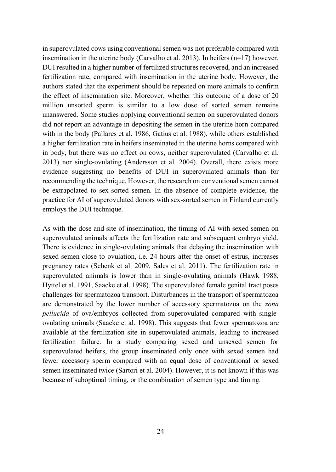in superovulated cows using conventional semen was not preferable compared with insemination in the uterine body (Carvalho et al. 2013). In heifers (n=17) however, DUI resulted in a higher number of fertilized structures recovered, and an increased fertilization rate, compared with insemination in the uterine body. However, the authors stated that the experiment should be repeated on more animals to confirm the effect of insemination site. Moreover, whether this outcome of a dose of 20 million unsorted sperm is similar to a low dose of sorted semen remains unanswered. Some studies applying conventional semen on superovulated donors did not report an advantage in depositing the semen in the uterine horn compared with in the body (Pallares et al. 1986, Gatius et al. 1988), while others established a higher fertilization rate in heifers inseminated in the uterine horns compared with in body, but there was no effect on cows, neither superovulated (Carvalho et al. 2013) nor single-ovulating (Andersson et al. 2004). Overall, there exists more evidence suggesting no benefits of DUI in superovulated animals than for recommending the technique. However, the research on conventional semen cannot be extrapolated to sex-sorted semen. In the absence of complete evidence, the practice for AI of superovulated donors with sex-sorted semen in Finland currently employs the DUI technique.

As with the dose and site of insemination, the timing of AI with sexed semen on superovulated animals affects the fertilization rate and subsequent embryo yield. There is evidence in single-ovulating animals that delaying the insemination with sexed semen close to ovulation, i.e. 24 hours after the onset of estrus, increases pregnancy rates (Schenk et al. 2009, Sales et al. 2011). The fertilization rate in superovulated animals is lower than in single-ovulating animals (Hawk 1988, Hyttel et al. 1991, Saacke et al. 1998). The superovulated female genital tract poses challenges for spermatozoa transport. Disturbances in the transport of spermatozoa are demonstrated by the lower number of accessory spermatozoa on the *zona pellucida* of ova/embryos collected from superovulated compared with singleovulating animals (Saacke et al. 1998). This suggests that fewer spermatozoa are available at the fertilization site in superovulated animals, leading to increased fertilization failure. In a study comparing sexed and unsexed semen for superovulated heifers, the group inseminated only once with sexed semen had fewer accessory sperm compared with an equal dose of conventional or sexed semen inseminated twice (Sartori et al. 2004). However, it is not known if this was because of suboptimal timing, or the combination of semen type and timing.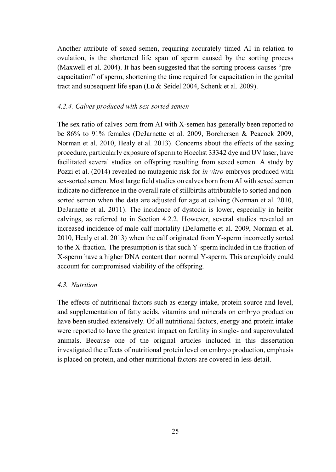Another attribute of sexed semen, requiring accurately timed AI in relation to ovulation, is the shortened life span of sperm caused by the sorting process (Maxwell et al. 2004). It has been suggested that the sorting process causes "precapacitation" of sperm, shortening the time required for capacitation in the genital tract and subsequent life span (Lu & Seidel 2004, Schenk et al. 2009).

#### *4.2.4. Calves produced with sex-sorted semen*

The sex ratio of calves born from AI with X-semen has generally been reported to be 86% to 91% females (DeJarnette et al. 2009, Borchersen & Peacock 2009, Norman et al. 2010, Healy et al. 2013). Concerns about the effects of the sexing procedure, particularly exposure of sperm to Hoechst 33342 dye and UV laser, have facilitated several studies on offspring resulting from sexed semen. A study by Pozzi et al. (2014) revealed no mutagenic risk for *in vitro* embryos produced with sex-sorted semen. Most large field studies on calves born from AI with sexed semen indicate no difference in the overall rate of stillbirths attributable to sorted and nonsorted semen when the data are adjusted for age at calving (Norman et al. 2010, DeJarnette et al. 2011). The incidence of dystocia is lower, especially in heifer calvings, as referred to in Section 4.2.2. However, several studies revealed an increased incidence of male calf mortality (DeJarnette et al. 2009, Norman et al. 2010, Healy et al. 2013) when the calf originated from Y-sperm incorrectly sorted to the X-fraction. The presumption is that such Y-sperm included in the fraction of X-sperm have a higher DNA content than normal Y-sperm. This aneuploidy could account for compromised viability of the offspring.

#### *4.3. Nutrition*

The effects of nutritional factors such as energy intake, protein source and level, and supplementation of fatty acids, vitamins and minerals on embryo production have been studied extensively. Of all nutritional factors, energy and protein intake were reported to have the greatest impact on fertility in single- and superovulated animals. Because one of the original articles included in this dissertation investigated the effects of nutritional protein level on embryo production, emphasis is placed on protein, and other nutritional factors are covered in less detail.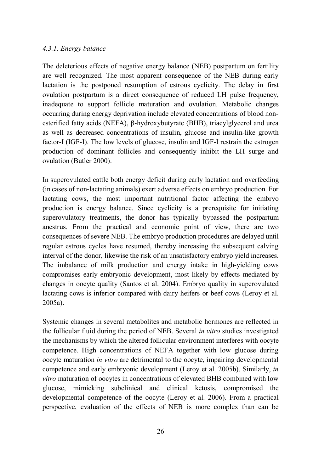#### *4.3.1. Energy balance*

The deleterious effects of negative energy balance (NEB) postpartum on fertility are well recognized. The most apparent consequence of the NEB during early lactation is the postponed resumption of estrous cyclicity. The delay in first ovulation postpartum is a direct consequence of reduced LH pulse frequency, inadequate to support follicle maturation and ovulation. Metabolic changes occurring during energy deprivation include elevated concentrations of blood nonesterified fatty acids (NEFA), β-hydroxybutyrate (BHB), triacylglycerol and urea as well as decreased concentrations of insulin, glucose and insulin-like growth factor-I (IGF-I). The low levels of glucose, insulin and IGF-I restrain the estrogen production of dominant follicles and consequently inhibit the LH surge and ovulation (Butler 2000).

In superovulated cattle both energy deficit during early lactation and overfeeding (in cases of non-lactating animals) exert adverse effects on embryo production. For lactating cows, the most important nutritional factor affecting the embryo production is energy balance. Since cyclicity is a prerequisite for initiating superovulatory treatments, the donor has typically bypassed the postpartum anestrus. From the practical and economic point of view, there are two consequences of severe NEB. The embryo production procedures are delayed until regular estrous cycles have resumed, thereby increasing the subsequent calving interval of the donor, likewise the risk of an unsatisfactory embryo yield increases. The imbalance of milk production and energy intake in high-yielding cows compromises early embryonic development, most likely by effects mediated by changes in oocyte quality (Santos et al. 2004). Embryo quality in superovulated lactating cows is inferior compared with dairy heifers or beef cows (Leroy et al. 2005a).

Systemic changes in several metabolites and metabolic hormones are reflected in the follicular fluid during the period of NEB. Several *in vitro* studies investigated the mechanisms by which the altered follicular environment interferes with oocyte competence. High concentrations of NEFA together with low glucose during oocyte maturation *in vitro* are detrimental to the oocyte, impairing developmental competence and early embryonic development (Leroy et al. 2005b). Similarly, *in vitro* maturation of oocytes in concentrations of elevated BHB combined with low glucose, mimicking subclinical and clinical ketosis, compromised the developmental competence of the oocyte (Leroy et al. 2006). From a practical perspective, evaluation of the effects of NEB is more complex than can be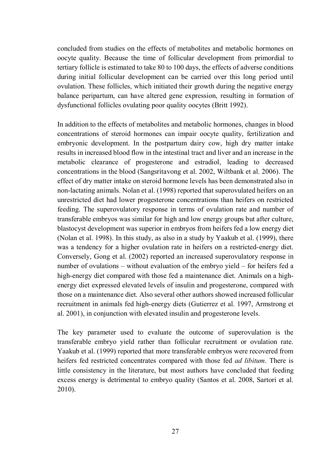concluded from studies on the effects of metabolites and metabolic hormones on oocyte quality. Because the time of follicular development from primordial to tertiary follicle is estimated to take 80 to 100 days, the effects of adverse conditions during initial follicular development can be carried over this long period until ovulation. These follicles, which initiated their growth during the negative energy balance peripartum, can have altered gene expression, resulting in formation of dysfunctional follicles ovulating poor quality oocytes (Britt 1992).

In addition to the effects of metabolites and metabolic hormones, changes in blood concentrations of steroid hormones can impair oocyte quality, fertilization and embryonic development. In the postpartum dairy cow, high dry matter intake results in increased blood flow in the intestinal tract and liver and an increase in the metabolic clearance of progesterone and estradiol, leading to decreased concentrations in the blood (Sangsritavong et al. 2002, Wiltbank et al. 2006). The effect of dry matter intake on steroid hormone levels has been demonstrated also in non-lactating animals. Nolan et al. (1998) reported that superovulated heifers on an unrestricted diet had lower progesterone concentrations than heifers on restricted feeding. The superovulatory response in terms of ovulation rate and number of transferable embryos was similar for high and low energy groups but after culture, blastocyst development was superior in embryos from heifers fed a low energy diet (Nolan et al. 1998). In this study, as also in a study by Yaakub et al. (1999), there was a tendency for a higher ovulation rate in heifers on a restricted-energy diet. Conversely, Gong et al. (2002) reported an increased superovulatory response in number of ovulations – without evaluation of the embryo yield – for heifers fed a high-energy diet compared with those fed a maintenance diet. Animals on a highenergy diet expressed elevated levels of insulin and progesterone, compared with those on a maintenance diet. Also several other authors showed increased follicular recruitment in animals fed high-energy diets (Gutierrez et al. 1997, Armstrong et al. 2001), in conjunction with elevated insulin and progesterone levels.

The key parameter used to evaluate the outcome of superovulation is the transferable embryo yield rather than follicular recruitment or ovulation rate. Yaakub et al. (1999) reported that more transferable embryos were recovered from heifers fed restricted concentrates compared with those fed *ad libitum*. There is little consistency in the literature, but most authors have concluded that feeding excess energy is detrimental to embryo quality (Santos et al. 2008, Sartori et al. 2010).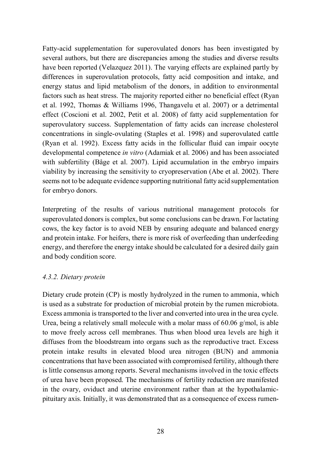Fatty-acid supplementation for superovulated donors has been investigated by several authors, but there are discrepancies among the studies and diverse results have been reported (Velazquez 2011). The varying effects are explained partly by differences in superovulation protocols, fatty acid composition and intake, and energy status and lipid metabolism of the donors, in addition to environmental factors such as heat stress. The majority reported either no beneficial effect (Ryan et al. 1992, Thomas & Williams 1996, Thangavelu et al. 2007) or a detrimental effect (Coscioni et al. 2002, Petit et al. 2008) of fatty acid supplementation for superovulatory success. Supplementation of fatty acids can increase cholesterol concentrations in single-ovulating (Staples et al. 1998) and superovulated cattle (Ryan et al. 1992). Excess fatty acids in the follicular fluid can impair oocyte developmental competence *in vitro* (Adamiak et al. 2006) and has been associated with subfertility (Båge et al. 2007). Lipid accumulation in the embryo impairs viability by increasing the sensitivity to cryopreservation (Abe et al. 2002). There seems not to be adequate evidence supporting nutritional fatty acid supplementation for embryo donors.

Interpreting of the results of various nutritional management protocols for superovulated donors is complex, but some conclusions can be drawn. For lactating cows, the key factor is to avoid NEB by ensuring adequate and balanced energy and protein intake. For heifers, there is more risk of overfeeding than underfeeding energy, and therefore the energy intake should be calculated for a desired daily gain and body condition score.

#### *4.3.2. Dietary protein*

Dietary crude protein (CP) is mostly hydrolyzed in the rumen to ammonia, which is used as a substrate for production of microbial protein by the rumen microbiota. Excess ammonia is transported to the liver and converted into urea in the urea cycle. Urea, being a relatively small molecule with a molar mass of 60.06 g/mol, is able to move freely across cell membranes. Thus when blood urea levels are high it diffuses from the bloodstream into organs such as the reproductive tract. Excess protein intake results in elevated blood urea nitrogen (BUN) and ammonia concentrations that have been associated with compromised fertility, although there is little consensus among reports. Several mechanisms involved in the toxic effects of urea have been proposed. The mechanisms of fertility reduction are manifested in the ovary, oviduct and uterine environment rather than at the hypothalamicpituitary axis. Initially, it was demonstrated that as a consequence of excess rumen-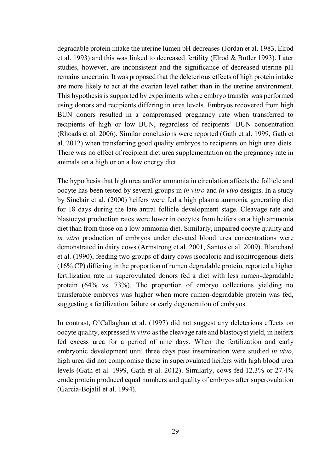degradable protein intake the uterine lumen pH decreases (Jordan et al. 1983, Elrod et al. 1993) and this was linked to decreased fertility (Elrod & Butler 1993). Later studies, however, are inconsistent and the significance of decreased uterine pH remains uncertain. It was proposed that the deleterious effects of high protein intake are more likely to act at the ovarian level rather than in the uterine environment. This hypothesis is supported by experiments where embryo transfer was performed using donors and recipients differing in urea levels. Embryos recovered from high BUN donors resulted in a compromised pregnancy rate when transferred to recipients of high or low BUN, regardless of recipients' BUN concentration (Rhoads et al. 2006). Similar conclusions were reported (Gath et al. 1999, Gath et al. 2012) when transferring good quality embryos to recipients on high urea diets. There was no effect of recipient diet urea supplementation on the pregnancy rate in animals on a high or on a low energy diet.

The hypothesis that high urea and/or ammonia in circulation affects the follicle and oocyte has been tested by several groups in *in vitro* and *in vivo* designs. In a study by Sinclair et al. (2000) heifers were fed a high plasma ammonia generating diet for 18 days during the late antral follicle development stage. Cleavage rate and blastocyst production rates were lower in oocytes from heifers on a high ammonia diet than from those on a low ammonia diet. Similarly, impaired oocyte quality and *in vitro* production of embryos under elevated blood urea concentrations were demonstrated in dairy cows (Armstrong et al. 2001, Santos et al. 2009). Blanchard et al. (1990), feeding two groups of dairy cows isocaloric and isonitrogenous diets (16% CP) differing in the proportion of rumen degradable protein, reported a higher fertilization rate in superovulated donors fed a diet with less rumen-degradable protein (64% vs. 73%). The proportion of embryo collections yielding no transferable embryos was higher when more rumen-degradable protein was fed, suggesting a fertilization failure or early degeneration of embryos.

In contrast, O'Callaghan et al. (1997) did not suggest any deleterious effects on oocyte quality, expressed *in vitro* as the cleavage rate and blastocyst yield, in heifers fed excess urea for a period of nine days. When the fertilization and early embryonic development until three days post insemination were studied *in vivo*, high urea did not compromise these in superovulated heifers with high blood urea levels (Gath et al. 1999, Gath et al. 2012). Similarly, cows fed 12.3% or 27.4% crude protein produced equal numbers and quality of embryos after superovulation (Garcia-Bojalil et al. 1994).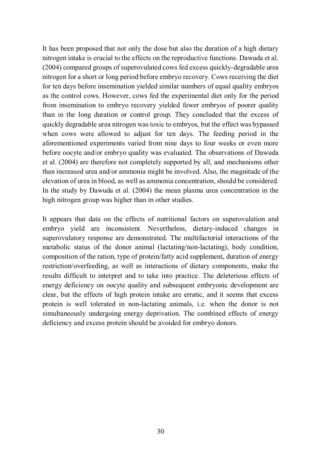It has been proposed that not only the dose but also the duration of a high dietary nitrogen intake is crucial to the effects on the reproductive functions. Dawuda et al. (2004) compared groups of superovulated cows fed excess quickly-degradable urea nitrogen for a short or long period before embryo recovery. Cows receiving the diet for ten days before insemination yielded similar numbers of equal quality embryos as the control cows. However, cows fed the experimental diet only for the period from insemination to embryo recovery yielded fewer embryos of poorer quality than in the long duration or control group. They concluded that the excess of quickly degradable urea nitrogen was toxic to embryos, but the effect was bypassed when cows were allowed to adjust for ten days. The feeding period in the aforementioned experiments varied from nine days to four weeks or even more before oocyte and/or embryo quality was evaluated. The observations of Dawuda et al. (2004) are therefore not completely supported by all, and mechanisms other than increased urea and/or ammonia might be involved. Also, the magnitude of the elevation of urea in blood, as well as ammonia concentration, should be considered. In the study by Dawuda et al. (2004) the mean plasma urea concentration in the high nitrogen group was higher than in other studies.

It appears that data on the effects of nutritional factors on superovulation and embryo yield are inconsistent. Nevertheless, dietary-induced changes in superovulatory response are demonstrated. The multifactorial interactions of the metabolic status of the donor animal (lactating/non-lactating), body condition, composition of the ration, type of protein/fatty acid supplement, duration of energy restriction/overfeeding, as well as interactions of dietary components, make the results difficult to interpret and to take into practice. The deleterious effects of energy deficiency on oocyte quality and subsequent embryonic development are clear, but the effects of high protein intake are erratic, and it seems that excess protein is well tolerated in non-lactating animals, i.e. when the donor is not simultaneously undergoing energy deprivation. The combined effects of energy deficiency and excess protein should be avoided for embryo donors.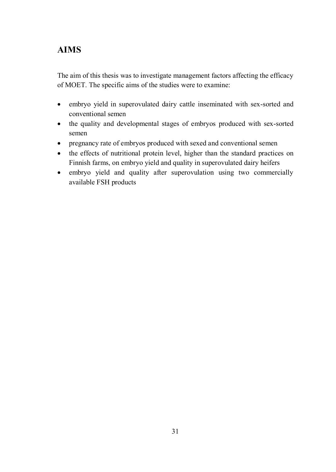# **AIMS**

The aim of this thesis was to investigate management factors affecting the efficacy of MOET. The specific aims of the studies were to examine:

- embryo yield in superovulated dairy cattle inseminated with sex-sorted and conventional semen
- the quality and developmental stages of embryos produced with sex-sorted semen
- pregnancy rate of embryos produced with sexed and conventional semen
- the effects of nutritional protein level, higher than the standard practices on Finnish farms, on embryo yield and quality in superovulated dairy heifers
- embryo yield and quality after superovulation using two commercially available FSH products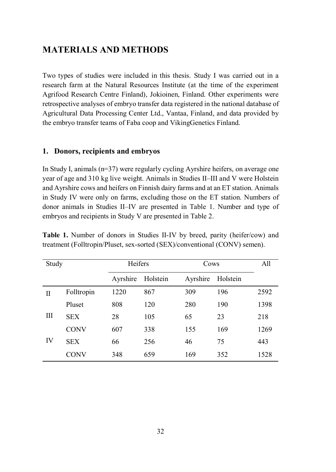# **MATERIALS AND METHODS**

Two types of studies were included in this thesis. Study I was carried out in a research farm at the Natural Resources Institute (at the time of the experiment Agrifood Research Centre Finland), Jokioinen, Finland. Other experiments were retrospective analyses of embryo transfer data registered in the national database of Agricultural Data Processing Center Ltd., Vantaa, Finland, and data provided by the embryo transfer teams of Faba coop and VikingGenetics Finland.

#### **1. Donors, recipients and embryos**

In Study I, animals (n=37) were regularly cycling Ayrshire heifers, on average one year of age and 310 kg live weight. Animals in Studies II–III and V were Holstein and Ayrshire cows and heifers on Finnish dairy farms and at an ET station. Animals in Study IV were only on farms, excluding those on the ET station. Numbers of donor animals in Studies II–IV are presented in Table 1. Number and type of embryos and recipients in Study V are presented in Table 2.

**Table 1.** Number of donors in Studies II-IV by breed, parity (heifer/cow) and treatment (Folltropin/Pluset, sex-sorted (SEX)/conventional (CONV) semen).

| Study |             | Heifers  |          | Cows     |          | All  |
|-------|-------------|----------|----------|----------|----------|------|
|       |             | Ayrshire | Holstein | Ayrshire | Holstein |      |
| Π     | Folltropin  | 1220     | 867      | 309      | 196      | 2592 |
|       | Pluset      | 808      | 120      | 280      | 190      | 1398 |
| III   | <b>SEX</b>  | 28       | 105      | 65       | 23       | 218  |
|       | <b>CONV</b> | 607      | 338      | 155      | 169      | 1269 |
| IV    | <b>SEX</b>  | 66       | 256      | 46       | 75       | 443  |
|       | CONV        | 348      | 659      | 169      | 352      | 1528 |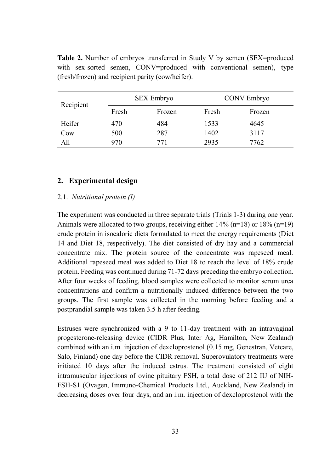| Recipient | <b>SEX Embryo</b> |        | CONV Embryo |        |  |
|-----------|-------------------|--------|-------------|--------|--|
|           | Fresh             | Frozen | Fresh       | Frozen |  |
| Heifer    | 470               | 484    | 1533        | 4645   |  |
| Cow       | 500               | 287    | 1402        | 3117   |  |
| All       | 970               | 771    | 2935        | 7762   |  |

Table 2. Number of embryos transferred in Study V by semen (SEX=produced with sex-sorted semen, CONV=produced with conventional semen), type (fresh/frozen) and recipient parity (cow/heifer).

#### **2. Experimental design**

#### 2.1. *Nutritional protein (I)*

The experiment was conducted in three separate trials (Trials 1-3) during one year. Animals were allocated to two groups, receiving either  $14\%$  (n=18) or  $18\%$  (n=19) crude protein in isocaloric diets formulated to meet the energy requirements (Diet 14 and Diet 18, respectively). The diet consisted of dry hay and a commercial concentrate mix. The protein source of the concentrate was rapeseed meal. Additional rapeseed meal was added to Diet 18 to reach the level of 18% crude protein. Feeding was continued during 71-72 days preceding the embryo collection. After four weeks of feeding, blood samples were collected to monitor serum urea concentrations and confirm a nutritionally induced difference between the two groups. The first sample was collected in the morning before feeding and a postprandial sample was taken 3.5 h after feeding.

Estruses were synchronized with a 9 to 11-day treatment with an intravaginal progesterone-releasing device (CIDR Plus, Inter Ag, Hamilton, New Zealand) combined with an i.m. injection of dexcloprostenol (0.15 mg, Genestran, Vetcare, Salo, Finland) one day before the CIDR removal. Superovulatory treatments were initiated 10 days after the induced estrus. The treatment consisted of eight intramuscular injections of ovine pituitary FSH, a total dose of 212 IU of NIH-FSH-S1 (Ovagen, Immuno-Chemical Products Ltd., Auckland, New Zealand) in decreasing doses over four days, and an i.m. injection of dexcloprostenol with the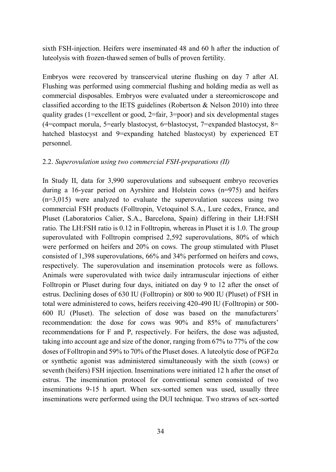sixth FSH-injection. Heifers were inseminated 48 and 60 h after the induction of luteolysis with frozen-thawed semen of bulls of proven fertility.

Embryos were recovered by transcervical uterine flushing on day 7 after AI. Flushing was performed using commercial flushing and holding media as well as commercial disposables. Embryos were evaluated under a stereomicroscope and classified according to the IETS guidelines (Robertson & Nelson 2010) into three quality grades (1=excellent or good,  $2=$  fair, 3=poor) and six developmental stages (4=compact morula, 5=early blastocyst, 6=blastocyst, 7=expanded blastocyst, 8= hatched blastocyst and 9=expanding hatched blastocyst) by experienced ET personnel.

#### 2.2. *Superovulation using two commercial FSH-preparations (II)*

In Study II, data for 3,990 superovulations and subsequent embryo recoveries during a 16-year period on Ayrshire and Holstein cows (n=975) and heifers  $(n=3,015)$  were analyzed to evaluate the superovulation success using two commercial FSH products (Folltropin, Vetoquinol S.A., Lure cedex, France, and Pluset (Laboratorios Calier, S.A., Barcelona, Spain) differing in their LH:FSH ratio. The LH:FSH ratio is 0.12 in Folltropin, whereas in Pluset it is 1.0. The group superovulated with Folltropin comprised 2,592 superovulations, 80% of which were performed on heifers and 20% on cows. The group stimulated with Pluset consisted of 1,398 superovulations, 66% and 34% performed on heifers and cows, respectively. The superovulation and insemination protocols were as follows. Animals were superovulated with twice daily intramuscular injections of either Folltropin or Pluset during four days, initiated on day 9 to 12 after the onset of estrus. Declining doses of 630 IU (Folltropin) or 800 to 900 IU (Pluset) of FSH in total were administered to cows, heifers receiving 420-490 IU (Folltropin) or 500- 600 IU (Pluset). The selection of dose was based on the manufacturers' recommendation: the dose for cows was 90% and 85% of manufacturers' recommendations for F and P, respectively. For heifers, the dose was adjusted, taking into account age and size of the donor, ranging from 67% to 77% of the cow doses of Folltropin and 59% to 70% of the Pluset doses. A luteolytic dose of  $PGF2\alpha$ or synthetic agonist was administered simultaneously with the sixth (cows) or seventh (heifers) FSH injection. Inseminations were initiated 12 h after the onset of estrus. The insemination protocol for conventional semen consisted of two inseminations 9-15 h apart. When sex-sorted semen was used, usually three inseminations were performed using the DUI technique. Two straws of sex-sorted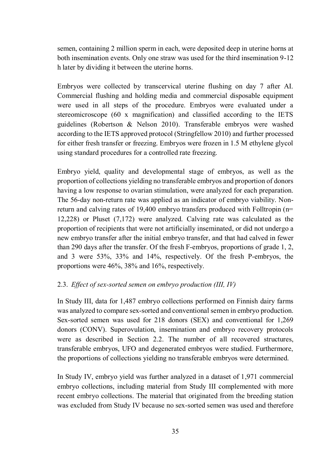semen, containing 2 million sperm in each, were deposited deep in uterine horns at both insemination events. Only one straw was used for the third insemination 9-12 h later by dividing it between the uterine horns.

Embryos were collected by transcervical uterine flushing on day 7 after AI. Commercial flushing and holding media and commercial disposable equipment were used in all steps of the procedure. Embryos were evaluated under a stereomicroscope (60 x magnification) and classified according to the IETS guidelines (Robertson & Nelson 2010). Transferable embryos were washed according to the IETS approved protocol (Stringfellow 2010) and further processed for either fresh transfer or freezing. Embryos were frozen in 1.5 M ethylene glycol using standard procedures for a controlled rate freezing.

Embryo yield, quality and developmental stage of embryos, as well as the proportion of collections yielding no transferable embryos and proportion of donors having a low response to ovarian stimulation, were analyzed for each preparation. The 56-day non-return rate was applied as an indicator of embryo viability. Nonreturn and calving rates of 19,400 embryo transfers produced with Folltropin (n= 12,228) or Pluset (7,172) were analyzed. Calving rate was calculated as the proportion of recipients that were not artificially inseminated, or did not undergo a new embryo transfer after the initial embryo transfer, and that had calved in fewer than 290 days after the transfer. Of the fresh F-embryos, proportions of grade 1, 2, and 3 were 53%, 33% and 14%, respectively. Of the fresh P-embryos, the proportions were 46%, 38% and 16%, respectively.

#### 2.3. *Effect of sex-sorted semen on embryo production (III, IV)*

In Study III, data for 1,487 embryo collections performed on Finnish dairy farms was analyzed to compare sex-sorted and conventional semen in embryo production. Sex-sorted semen was used for 218 donors (SEX) and conventional for 1,269 donors (CONV). Superovulation, insemination and embryo recovery protocols were as described in Section 2.2. The number of all recovered structures, transferable embryos, UFO and degenerated embryos were studied. Furthermore, the proportions of collections yielding no transferable embryos were determined.

In Study IV, embryo yield was further analyzed in a dataset of 1,971 commercial embryo collections, including material from Study III complemented with more recent embryo collections. The material that originated from the breeding station was excluded from Study IV because no sex-sorted semen was used and therefore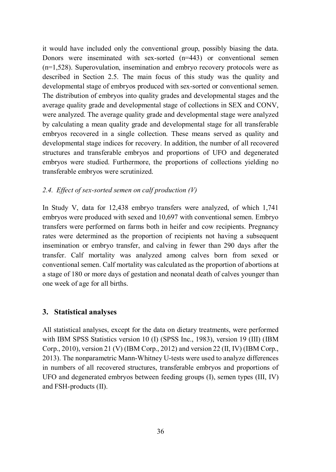it would have included only the conventional group, possibly biasing the data. Donors were inseminated with sex-sorted (n=443) or conventional semen (n=1,528). Superovulation, insemination and embryo recovery protocols were as described in Section 2.5. The main focus of this study was the quality and developmental stage of embryos produced with sex-sorted or conventional semen. The distribution of embryos into quality grades and developmental stages and the average quality grade and developmental stage of collections in SEX and CONV, were analyzed. The average quality grade and developmental stage were analyzed by calculating a mean quality grade and developmental stage for all transferable embryos recovered in a single collection. These means served as quality and developmental stage indices for recovery. In addition, the number of all recovered structures and transferable embryos and proportions of UFO and degenerated embryos were studied. Furthermore, the proportions of collections yielding no transferable embryos were scrutinized.

#### *2.4. Effect of sex-sorted semen on calf production (V)*

In Study V, data for 12,438 embryo transfers were analyzed, of which 1,741 embryos were produced with sexed and 10,697 with conventional semen. Embryo transfers were performed on farms both in heifer and cow recipients. Pregnancy rates were determined as the proportion of recipients not having a subsequent insemination or embryo transfer, and calving in fewer than 290 days after the transfer. Calf mortality was analyzed among calves born from sexed or conventional semen. Calf mortality was calculated as the proportion of abortions at a stage of 180 or more days of gestation and neonatal death of calves younger than one week of age for all births.

### **3. Statistical analyses**

All statistical analyses, except for the data on dietary treatments, were performed with IBM SPSS Statistics version 10 (I) (SPSS Inc., 1983), version 19 (III) (IBM Corp., 2010), version 21 (V) (IBM Corp., 2012) and version 22 (II, IV) (IBM Corp., 2013). The nonparametric Mann-Whitney U-tests were used to analyze differences in numbers of all recovered structures, transferable embryos and proportions of UFO and degenerated embryos between feeding groups (I), semen types (III, IV) and FSH-products (II).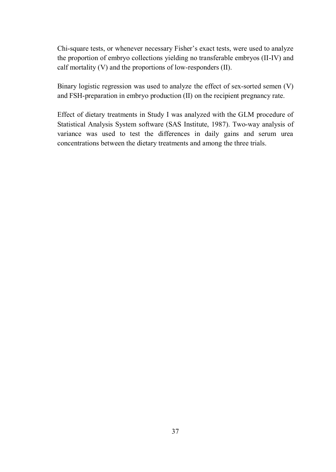Chi-square tests, or whenever necessary Fisher's exact tests, were used to analyze the proportion of embryo collections yielding no transferable embryos (II-IV) and calf mortality (V) and the proportions of low-responders (II).

Binary logistic regression was used to analyze the effect of sex-sorted semen (V) and FSH-preparation in embryo production (II) on the recipient pregnancy rate.

Effect of dietary treatments in Study I was analyzed with the GLM procedure of Statistical Analysis System software (SAS Institute, 1987). Two-way analysis of variance was used to test the differences in daily gains and serum urea concentrations between the dietary treatments and among the three trials.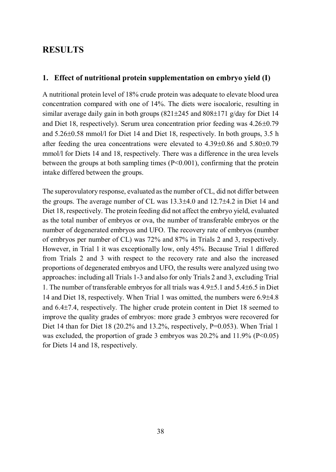## **RESULTS**

#### **1. Effect of nutritional protein supplementation on embryo yield (I)**

A nutritional protein level of 18% crude protein was adequate to elevate blood urea concentration compared with one of 14%. The diets were isocaloric, resulting in similar average daily gain in both groups  $(821\pm245$  and  $808\pm171$  g/day for Diet 14 and Diet 18, respectively). Serum urea concentration prior feeding was  $4.26\pm0.79$ and  $5.26\pm0.58$  mmol/l for Diet 14 and Diet 18, respectively. In both groups, 3.5 h after feeding the urea concentrations were elevated to  $4.39\pm0.86$  and  $5.80\pm0.79$ mmol/l for Diets 14 and 18, respectively. There was a difference in the urea levels between the groups at both sampling times (P<0.001), confirming that the protein intake differed between the groups.

The superovulatory response, evaluated as the number of CL, did not differ between the groups. The average number of CL was  $13.3\pm4.0$  and  $12.7\pm4.2$  in Diet 14 and Diet 18, respectively. The protein feeding did not affect the embryo yield, evaluated as the total number of embryos or ova, the number of transferable embryos or the number of degenerated embryos and UFO. The recovery rate of embryos (number of embryos per number of CL) was 72% and 87% in Trials 2 and 3, respectively. However, in Trial 1 it was exceptionally low, only 45%. Because Trial 1 differed from Trials 2 and 3 with respect to the recovery rate and also the increased proportions of degenerated embryos and UFO, the results were analyzed using two approaches: including all Trials 1-3 and also for only Trials 2 and 3, excluding Trial 1. The number of transferable embryos for all trials was  $4.9\pm5.1$  and  $5.4\pm6.5$  in Diet 14 and Diet 18, respectively. When Trial 1 was omitted, the numbers were  $6.9\pm4.8$ and  $6.4\pm7.4$ , respectively. The higher crude protein content in Diet 18 seemed to improve the quality grades of embryos: more grade 3 embryos were recovered for Diet 14 than for Diet 18 (20.2% and 13.2%, respectively, P=0.053). When Trial 1 was excluded, the proportion of grade 3 embryos was  $20.2\%$  and  $11.9\%$  (P<0.05) for Diets 14 and 18, respectively.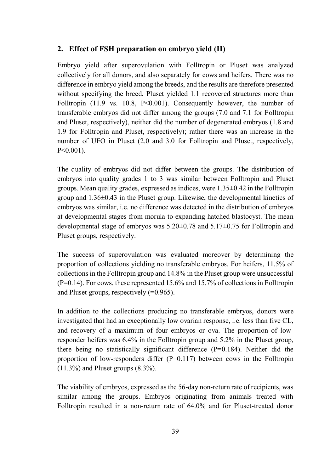## **2. Effect of FSH preparation on embryo yield (II)**

Embryo yield after superovulation with Folltropin or Pluset was analyzed collectively for all donors, and also separately for cows and heifers. There was no difference in embryo yield among the breeds, and the results are therefore presented without specifying the breed. Pluset yielded 1.1 recovered structures more than Folltropin (11.9 vs. 10.8, P<0.001). Consequently however, the number of transferable embryos did not differ among the groups (7.0 and 7.1 for Folltropin and Pluset, respectively), neither did the number of degenerated embryos (1.8 and 1.9 for Folltropin and Pluset, respectively); rather there was an increase in the number of UFO in Pluset (2.0 and 3.0 for Folltropin and Pluset, respectively, P<0.001).

The quality of embryos did not differ between the groups. The distribution of embryos into quality grades 1 to 3 was similar between Folltropin and Pluset groups. Mean quality grades, expressed as indices, were  $1.35\pm0.42$  in the Folltropin group and  $1.36\pm0.43$  in the Pluset group. Likewise, the developmental kinetics of embryos was similar, i.e. no difference was detected in the distribution of embryos at developmental stages from morula to expanding hatched blastocyst. The mean developmental stage of embryos was 5.20±0.78 and 5.17±0.75 for Folltropin and Pluset groups, respectively.

The success of superovulation was evaluated moreover by determining the proportion of collections yielding no transferable embryos. For heifers, 11.5% of collections in the Folltropin group and 14.8% in the Pluset group were unsuccessful (P=0.14). For cows, these represented 15.6% and 15.7% of collections in Folltropin and Pluset groups, respectively (=0.965).

In addition to the collections producing no transferable embryos, donors were investigated that had an exceptionally low ovarian response, i.e. less than five CL, and recovery of a maximum of four embryos or ova. The proportion of lowresponder heifers was 6.4% in the Folltropin group and 5.2% in the Pluset group, there being no statistically significant difference (P=0.184). Neither did the proportion of low-responders differ  $(P=0.117)$  between cows in the Folltropin (11.3%) and Pluset groups (8.3%).

The viability of embryos, expressed as the 56-day non-return rate of recipients, was similar among the groups. Embryos originating from animals treated with Folltropin resulted in a non-return rate of 64.0% and for Pluset-treated donor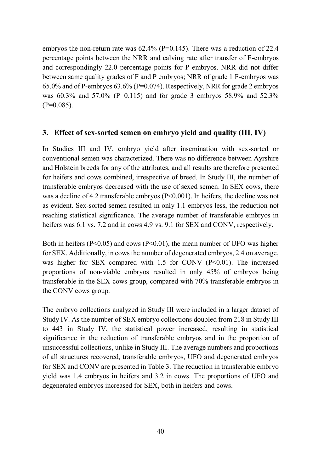embryos the non-return rate was 62.4% (P=0.145). There was a reduction of 22.4 percentage points between the NRR and calving rate after transfer of F-embryos and correspondingly 22.0 percentage points for P-embryos. NRR did not differ between same quality grades of F and P embryos; NRR of grade 1 F-embryos was 65.0% and of P-embryos 63.6% (P=0.074). Respectively, NRR for grade 2 embryos was 60.3% and 57.0% (P=0.115) and for grade 3 embryos 58.9% and 52.3%  $(P=0.085)$ .

#### **3. Effect of sex-sorted semen on embryo yield and quality (III, IV)**

In Studies III and IV, embryo yield after insemination with sex-sorted or conventional semen was characterized. There was no difference between Ayrshire and Holstein breeds for any of the attributes, and all results are therefore presented for heifers and cows combined, irrespective of breed. In Study III, the number of transferable embryos decreased with the use of sexed semen. In SEX cows, there was a decline of 4.2 transferable embryos  $(P< 0.001)$ . In heifers, the decline was not as evident. Sex-sorted semen resulted in only 1.1 embryos less, the reduction not reaching statistical significance. The average number of transferable embryos in heifers was 6.1 vs. 7.2 and in cows 4.9 vs. 9.1 for SEX and CONV, respectively.

Both in heifers ( $P \le 0.05$ ) and cows ( $P \le 0.01$ ), the mean number of UFO was higher for SEX. Additionally, in cows the number of degenerated embryos, 2.4 on average, was higher for SEX compared with 1.5 for CONV (P<0.01). The increased proportions of non-viable embryos resulted in only 45% of embryos being transferable in the SEX cows group, compared with 70% transferable embryos in the CONV cows group.

The embryo collections analyzed in Study III were included in a larger dataset of Study IV. As the number of SEX embryo collections doubled from 218 in Study III to 443 in Study IV, the statistical power increased, resulting in statistical significance in the reduction of transferable embryos and in the proportion of unsuccessful collections, unlike in Study III. The average numbers and proportions of all structures recovered, transferable embryos, UFO and degenerated embryos for SEX and CONV are presented in Table 3. The reduction in transferable embryo yield was 1.4 embryos in heifers and 3.2 in cows. The proportions of UFO and degenerated embryos increased for SEX, both in heifers and cows.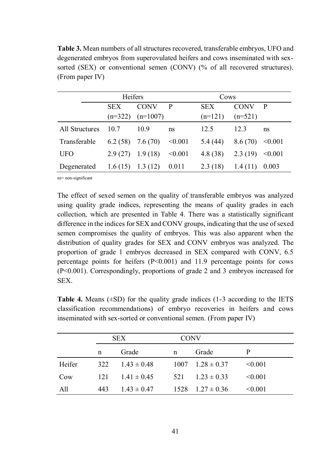**Table 3.** Mean numbers of all structures recovered, transferable embryos, UFO and degenerated embryos from superovulated heifers and cows inseminated with sexsorted (SEX) or conventional semen (CONV) (% of all recovered structures). (From paper IV)

|                | Heifers                 |                           |              | Cows                    |                          |              |
|----------------|-------------------------|---------------------------|--------------|-------------------------|--------------------------|--------------|
|                | <b>SEX</b><br>$(n=322)$ | <b>CONV</b><br>$(n=1007)$ | $\mathbf{P}$ | <b>SEX</b><br>$(n=121)$ | <b>CONV</b><br>$(n=521)$ | $\mathbf{P}$ |
| All Structures | 10.7                    | 10.9                      | ns           | 12.5                    | 123                      | ns           |
| Transferable   | $6.2(58)$ 7.6 (70)      |                           | < 0.001      | 5.4 (44)                | 8.6(70)                  | < 0.001      |
| <b>UFO</b>     | 2.9(27)                 | 1.9(18)                   | < 0.001      | 4.8(38)                 | 2.3(19)                  | $\leq 0.001$ |
| Degenerated    | 1.6(15)                 | 1.3(12)                   | 0.011        | 2.3(18)                 | 1.4(11)                  | 0.003        |

ns= non-significant

The effect of sexed semen on the quality of transferable embryos was analyzed using quality grade indices, representing the means of quality grades in each collection, which are presented in Table 4. There was a statistically significant difference in the indices for SEX and CONV groups, indicating that the use of sexed semen compromises the quality of embryos. This was also apparent when the distribution of quality grades for SEX and CONV embryos was analyzed. The proportion of grade 1 embryos decreased in SEX compared with CONV, 6.5 percentage points for heifers  $(P<0.001)$  and 11.9 percentage points for cows (P<0.001). Correspondingly, proportions of grade 2 and 3 embryos increased for SEX.

**Table 4.** Means  $(\pm SD)$  for the quality grade indices  $(1-3 \text{ according to the IETS})$ classification recommendations) of embryo recoveries in heifers and cows inseminated with sex-sorted or conventional semen. (From paper IV)

|        | <b>SEX</b> |                 | <b>CONV</b> |                            |              |
|--------|------------|-----------------|-------------|----------------------------|--------------|
|        | n          | Grade           | n           | Grade                      | P            |
| Heifer | 322        | $1.43 \pm 0.48$ |             | $1007 \quad 1.28 \pm 0.37$ | < 0.001      |
| Cow    | 121        | $1.41 \pm 0.45$ | 521         | $123 \pm 033$              | $\leq 0.001$ |
| All    | 443        | $1.43 \pm 0.47$ |             | $1528$ $1.27 \pm 0.36$     | $\leq 0.001$ |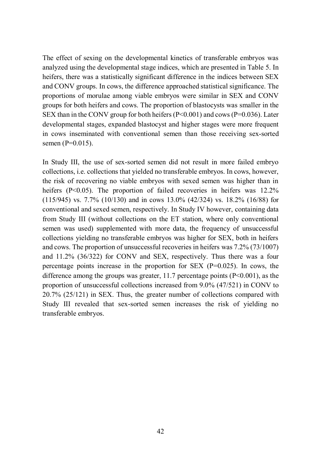The effect of sexing on the developmental kinetics of transferable embryos was analyzed using the developmental stage indices, which are presented in Table 5. In heifers, there was a statistically significant difference in the indices between SEX and CONV groups. In cows, the difference approached statistical significance. The proportions of morulae among viable embryos were similar in SEX and CONV groups for both heifers and cows. The proportion of blastocysts was smaller in the SEX than in the CONV group for both heifers  $(P< 0.001)$  and cows  $(P=0.036)$ . Later developmental stages, expanded blastocyst and higher stages were more frequent in cows inseminated with conventional semen than those receiving sex-sorted semen (P=0.015).

In Study III, the use of sex-sorted semen did not result in more failed embryo collections, i.e. collections that yielded no transferable embryos. In cows, however, the risk of recovering no viable embryos with sexed semen was higher than in heifers (P<0.05). The proportion of failed recoveries in heifers was 12.2% (115/945) vs. 7.7% (10/130) and in cows 13.0% (42/324) vs. 18.2% (16/88) for conventional and sexed semen, respectively. In Study IV however, containing data from Study III (without collections on the ET station, where only conventional semen was used) supplemented with more data, the frequency of unsuccessful collections yielding no transferable embryos was higher for SEX, both in heifers and cows. The proportion of unsuccessful recoveries in heifers was 7.2% (73/1007) and 11.2% (36/322) for CONV and SEX, respectively. Thus there was a four percentage points increase in the proportion for SEX (P=0.025). In cows, the difference among the groups was greater, 11.7 percentage points  $(P<0.001)$ , as the proportion of unsuccessful collections increased from 9.0% (47/521) in CONV to 20.7% (25/121) in SEX. Thus, the greater number of collections compared with Study III revealed that sex-sorted semen increases the risk of yielding no transferable embryos.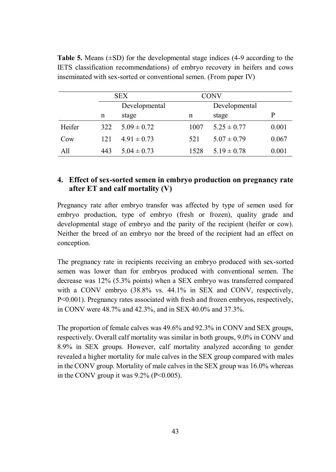|        |     | <b>SEX</b>      |      | CONV            |       |  |
|--------|-----|-----------------|------|-----------------|-------|--|
|        |     | Developmental   |      | Developmental   |       |  |
|        | n   | stage           | n    | stage           | P     |  |
| Heifer | 322 | $5.09 \pm 0.72$ | 1007 | $5.25 \pm 0.77$ | 0.001 |  |
| Cow    | 121 | $4.91 \pm 0.73$ | 521  | $5.07 \pm 0.79$ | 0.067 |  |
| All    | 443 | $5.04 \pm 0.73$ | 1528 | $5.19 \pm 0.78$ | 0.001 |  |

**Table 5.** Means  $(\pm SD)$  for the developmental stage indices  $(4-9 \text{ according to the})$ IETS classification recommendations) of embryo recovery in heifers and cows inseminated with sex-sorted or conventional semen. (From paper IV)

### **4. Effect of sex-sorted semen in embryo production on pregnancy rate after ET and calf mortality (V)**

Pregnancy rate after embryo transfer was affected by type of semen used for embryo production, type of embryo (fresh or frozen), quality grade and developmental stage of embryo and the parity of the recipient (heifer or cow). Neither the breed of an embryo nor the breed of the recipient had an effect on conception.

The pregnancy rate in recipients receiving an embryo produced with sex-sorted semen was lower than for embryos produced with conventional semen. The decrease was 12% (5.3% points) when a SEX embryo was transferred compared with a CONV embryo (38.8% vs. 44.1% in SEX and CONV, respectively, P<0.001). Pregnancy rates associated with fresh and frozen embryos, respectively, in CONV were 48.7% and 42.3%, and in SEX 40.0% and 37.3%.

The proportion of female calves was 49.6% and 92.3% in CONV and SEX groups, respectively. Overall calf mortality was similar in both groups, 9.0% in CONV and 8.9% in SEX groups. However, calf mortality analyzed according to gender revealed a higher mortality for male calves in the SEX group compared with males in the CONV group. Mortality of male calves in the SEX group was 16.0% whereas in the CONV group it was  $9.2\%$  (P<0.005).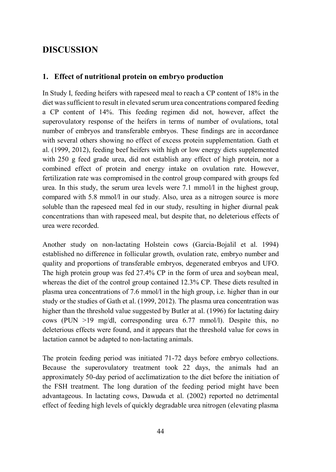## **DISCUSSION**

### **1. Effect of nutritional protein on embryo production**

In Study I, feeding heifers with rapeseed meal to reach a CP content of 18% in the diet was sufficient to result in elevated serum urea concentrations compared feeding a CP content of 14%. This feeding regimen did not, however, affect the superovulatory response of the heifers in terms of number of ovulations, total number of embryos and transferable embryos. These findings are in accordance with several others showing no effect of excess protein supplementation. Gath et al. (1999, 2012), feeding beef heifers with high or low energy diets supplemented with 250 g feed grade urea, did not establish any effect of high protein, nor a combined effect of protein and energy intake on ovulation rate. However, fertilization rate was compromised in the control group compared with groups fed urea. In this study, the serum urea levels were 7.1 mmol/l in the highest group, compared with 5.8 mmol/l in our study. Also, urea as a nitrogen source is more soluble than the rapeseed meal fed in our study, resulting in higher diurnal peak concentrations than with rapeseed meal, but despite that, no deleterious effects of urea were recorded.

Another study on non-lactating Holstein cows (Garcia-Bojalil et al. 1994) established no difference in follicular growth, ovulation rate, embryo number and quality and proportions of transferable embryos, degenerated embryos and UFO. The high protein group was fed 27.4% CP in the form of urea and soybean meal, whereas the diet of the control group contained 12.3% CP. These diets resulted in plasma urea concentrations of 7.6 mmol/l in the high group, i.e. higher than in our study or the studies of Gath et al. (1999, 2012). The plasma urea concentration was higher than the threshold value suggested by Butler at al. (1996) for lactating dairy cows (PUN >19 mg/dl, corresponding urea 6.77 mmol/l). Despite this, no deleterious effects were found, and it appears that the threshold value for cows in lactation cannot be adapted to non-lactating animals.

The protein feeding period was initiated 71-72 days before embryo collections. Because the superovulatory treatment took 22 days, the animals had an approximately 50-day period of acclimatization to the diet before the initiation of the FSH treatment. The long duration of the feeding period might have been advantageous. In lactating cows, Dawuda et al. (2002) reported no detrimental effect of feeding high levels of quickly degradable urea nitrogen (elevating plasma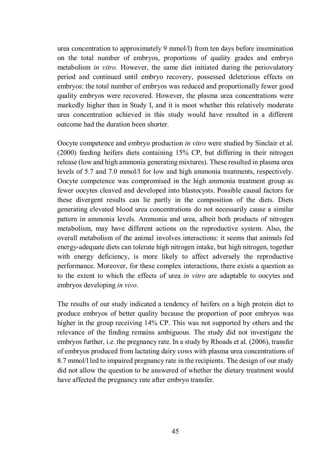urea concentration to approximately 9 mmol/l) from ten days before insemination on the total number of embryos, proportions of quality grades and embryo metabolism *in vitro.* However, the same diet initiated during the periovulatory period and continued until embryo recovery, possessed deleterious effects on embryos: the total number of embryos was reduced and proportionally fewer good quality embryos were recovered. However, the plasma urea concentrations were markedly higher than in Study I, and it is moot whether this relatively moderate urea concentration achieved in this study would have resulted in a different outcome had the duration been shorter.

Oocyte competence and embryo production *in vitro* were studied by Sinclair et al. (2000) feeding heifers diets containing 15% CP, but differing in their nitrogen release (low and high ammonia generating mixtures). These resulted in plasma urea levels of 5.7 and 7.0 mmol/l for low and high ammonia treatments, respectively. Oocyte competence was compromised in the high ammonia treatment group as fewer oocytes cleaved and developed into blastocysts. Possible causal factors for these divergent results can lie partly in the composition of the diets. Diets generating elevated blood urea concentrations do not necessarily cause a similar pattern in ammonia levels. Ammonia and urea, albeit both products of nitrogen metabolism, may have different actions on the reproductive system. Also, the overall metabolism of the animal involves interactions: it seems that animals fed energy-adequate diets can tolerate high nitrogen intake, but high nitrogen, together with energy deficiency, is more likely to affect adversely the reproductive performance. Moreover, for these complex interactions, there exists a question as to the extent to which the effects of urea *in vitro* are adaptable to oocytes and embryos developing *in vivo*.

The results of our study indicated a tendency of heifers on a high protein diet to produce embryos of better quality because the proportion of poor embryos was higher in the group receiving 14% CP. This was not supported by others and the relevance of the finding remains ambiguous. The study did not investigate the embryos further, i.e. the pregnancy rate. In a study by Rhoads et al. (2006), transfer of embryos produced from lactating dairy cows with plasma urea concentrations of 8.7 mmol/l led to impaired pregnancy rate in the recipients. The design of our study did not allow the question to be answered of whether the dietary treatment would have affected the pregnancy rate after embryo transfer.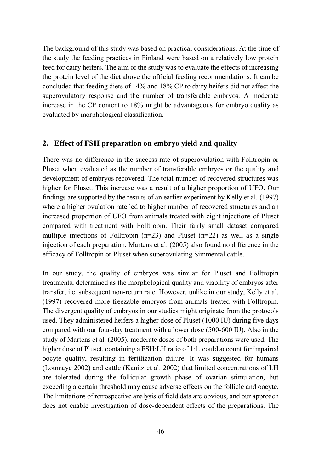The background of this study was based on practical considerations. At the time of the study the feeding practices in Finland were based on a relatively low protein feed for dairy heifers. The aim of the study was to evaluate the effects of increasing the protein level of the diet above the official feeding recommendations. It can be concluded that feeding diets of 14% and 18% CP to dairy heifers did not affect the superovulatory response and the number of transferable embryos. A moderate increase in the CP content to 18% might be advantageous for embryo quality as evaluated by morphological classification.

#### **2. Effect of FSH preparation on embryo yield and quality**

There was no difference in the success rate of superovulation with Folltropin or Pluset when evaluated as the number of transferable embryos or the quality and development of embryos recovered. The total number of recovered structures was higher for Pluset. This increase was a result of a higher proportion of UFO. Our findings are supported by the results of an earlier experiment by Kelly et al. (1997) where a higher ovulation rate led to higher number of recovered structures and an increased proportion of UFO from animals treated with eight injections of Pluset compared with treatment with Folltropin. Their fairly small dataset compared multiple injections of Folltropin ( $n=23$ ) and Pluset ( $n=22$ ) as well as a single injection of each preparation. Martens et al. (2005) also found no difference in the efficacy of Folltropin or Pluset when superovulating Simmental cattle.

In our study, the quality of embryos was similar for Pluset and Folltropin treatments, determined as the morphological quality and viability of embryos after transfer, i.e. subsequent non-return rate. However, unlike in our study, Kelly et al. (1997) recovered more freezable embryos from animals treated with Folltropin. The divergent quality of embryos in our studies might originate from the protocols used. They administered heifers a higher dose of Pluset (1000 IU) during five days compared with our four-day treatment with a lower dose (500-600 IU). Also in the study of Martens et al. (2005), moderate doses of both preparations were used. The higher dose of Pluset, containing a FSH:LH ratio of 1:1, could account for impaired oocyte quality, resulting in fertilization failure. It was suggested for humans (Loumaye 2002) and cattle (Kanitz et al. 2002) that limited concentrations of LH are tolerated during the follicular growth phase of ovarian stimulation, but exceeding a certain threshold may cause adverse effects on the follicle and oocyte. The limitations of retrospective analysis of field data are obvious, and our approach does not enable investigation of dose-dependent effects of the preparations. The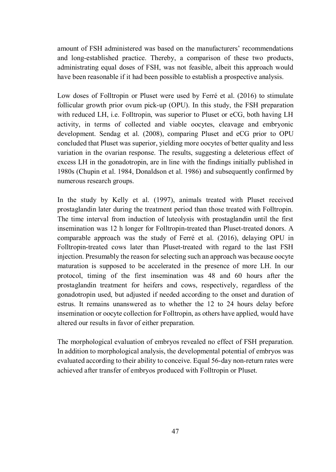amount of FSH administered was based on the manufacturers' recommendations and long-established practice. Thereby, a comparison of these two products, administrating equal doses of FSH, was not feasible, albeit this approach would have been reasonable if it had been possible to establish a prospective analysis.

Low doses of Folltropin or Pluset were used by Ferré et al. (2016) to stimulate follicular growth prior ovum pick-up (OPU). In this study, the FSH preparation with reduced LH, i.e. Folltropin, was superior to Pluset or eCG, both having LH activity, in terms of collected and viable oocytes, cleavage and embryonic development. Sendag et al. (2008), comparing Pluset and eCG prior to OPU concluded that Pluset was superior, yielding more oocytes of better quality and less variation in the ovarian response. The results, suggesting a deleterious effect of excess LH in the gonadotropin, are in line with the findings initially published in 1980s (Chupin et al. 1984, Donaldson et al. 1986) and subsequently confirmed by numerous research groups.

In the study by Kelly et al. (1997), animals treated with Pluset received prostaglandin later during the treatment period than those treated with Folltropin. The time interval from induction of luteolysis with prostaglandin until the first insemination was 12 h longer for Folltropin-treated than Pluset-treated donors. A comparable approach was the study of Ferré et al. (2016), delaying OPU in Folltropin-treated cows later than Pluset-treated with regard to the last FSH injection. Presumably the reason for selecting such an approach was because oocyte maturation is supposed to be accelerated in the presence of more LH. In our protocol, timing of the first insemination was 48 and 60 hours after the prostaglandin treatment for heifers and cows, respectively, regardless of the gonadotropin used, but adjusted if needed according to the onset and duration of estrus. It remains unanswered as to whether the 12 to 24 hours delay before insemination or oocyte collection for Folltropin, as others have applied, would have altered our results in favor of either preparation.

The morphological evaluation of embryos revealed no effect of FSH preparation. In addition to morphological analysis, the developmental potential of embryos was evaluated according to their ability to conceive. Equal 56-day non-return rates were achieved after transfer of embryos produced with Folltropin or Pluset.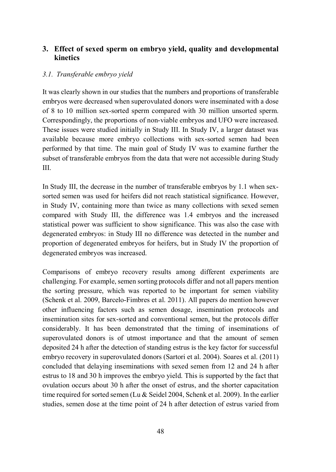## **3. Effect of sexed sperm on embryo yield, quality and developmental kinetics**

#### *3.1. Transferable embryo yield*

It was clearly shown in our studies that the numbers and proportions of transferable embryos were decreased when superovulated donors were inseminated with a dose of 8 to 10 million sex-sorted sperm compared with 30 million unsorted sperm. Correspondingly, the proportions of non-viable embryos and UFO were increased. These issues were studied initially in Study III. In Study IV, a larger dataset was available because more embryo collections with sex-sorted semen had been performed by that time. The main goal of Study IV was to examine further the subset of transferable embryos from the data that were not accessible during Study III.

In Study III, the decrease in the number of transferable embryos by 1.1 when sexsorted semen was used for heifers did not reach statistical significance. However, in Study IV, containing more than twice as many collections with sexed semen compared with Study III, the difference was 1.4 embryos and the increased statistical power was sufficient to show significance. This was also the case with degenerated embryos: in Study III no difference was detected in the number and proportion of degenerated embryos for heifers, but in Study IV the proportion of degenerated embryos was increased.

Comparisons of embryo recovery results among different experiments are challenging. For example, semen sorting protocols differ and not all papers mention the sorting pressure, which was reported to be important for semen viability (Schenk et al. 2009, Barcelo-Fimbres et al. 2011). All papers do mention however other influencing factors such as semen dosage, insemination protocols and insemination sites for sex-sorted and conventional semen, but the protocols differ considerably. It has been demonstrated that the timing of inseminations of superovulated donors is of utmost importance and that the amount of semen deposited 24 h after the detection of standing estrus is the key factor for successful embryo recovery in superovulated donors (Sartori et al. 2004). Soares et al. (2011) concluded that delaying inseminations with sexed semen from 12 and 24 h after estrus to 18 and 30 h improves the embryo yield. This is supported by the fact that ovulation occurs about 30 h after the onset of estrus, and the shorter capacitation time required for sorted semen (Lu & Seidel 2004, Schenk et al. 2009). In the earlier studies, semen dose at the time point of 24 h after detection of estrus varied from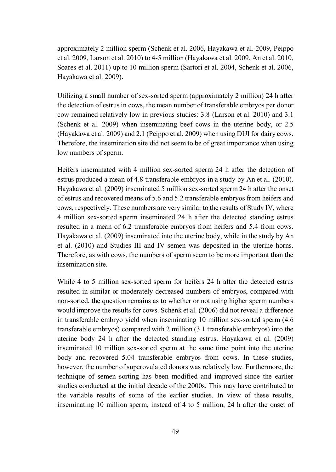approximately 2 million sperm (Schenk et al. 2006, Hayakawa et al. 2009, Peippo et al. 2009, Larson et al. 2010) to 4-5 million (Hayakawa et al. 2009, An et al. 2010, Soares et al. 2011) up to 10 million sperm (Sartori et al. 2004, Schenk et al. 2006, Hayakawa et al. 2009).

Utilizing a small number of sex-sorted sperm (approximately 2 million) 24 h after the detection of estrus in cows, the mean number of transferable embryos per donor cow remained relatively low in previous studies: 3.8 (Larson et al. 2010) and 3.1 (Schenk et al. 2009) when inseminating beef cows in the uterine body, or 2.5 (Hayakawa et al. 2009) and 2.1 (Peippo et al. 2009) when using DUI for dairy cows. Therefore, the insemination site did not seem to be of great importance when using low numbers of sperm.

Heifers inseminated with 4 million sex-sorted sperm 24 h after the detection of estrus produced a mean of 4.8 transferable embryos in a study by An et al. (2010). Hayakawa et al. (2009) inseminated 5 million sex-sorted sperm 24 h after the onset of estrus and recovered means of 5.6 and 5.2 transferable embryos from heifers and cows, respectively. These numbers are very similar to the results of Study IV, where 4 million sex-sorted sperm inseminated 24 h after the detected standing estrus resulted in a mean of 6.2 transferable embryos from heifers and 5.4 from cows. Hayakawa et al. (2009) inseminated into the uterine body, while in the study by An et al. (2010) and Studies III and IV semen was deposited in the uterine horns. Therefore, as with cows, the numbers of sperm seem to be more important than the insemination site.

While 4 to 5 million sex-sorted sperm for heifers 24 h after the detected estrus resulted in similar or moderately decreased numbers of embryos, compared with non-sorted, the question remains as to whether or not using higher sperm numbers would improve the results for cows. Schenk et al. (2006) did not reveal a difference in transferable embryo yield when inseminating 10 million sex-sorted sperm (4.6 transferable embryos) compared with 2 million (3.1 transferable embryos) into the uterine body 24 h after the detected standing estrus. Hayakawa et al. (2009) inseminated 10 million sex-sorted sperm at the same time point into the uterine body and recovered 5.04 transferable embryos from cows. In these studies, however, the number of superovulated donors was relatively low. Furthermore, the technique of semen sorting has been modified and improved since the earlier studies conducted at the initial decade of the 2000s. This may have contributed to the variable results of some of the earlier studies. In view of these results, inseminating 10 million sperm, instead of 4 to 5 million, 24 h after the onset of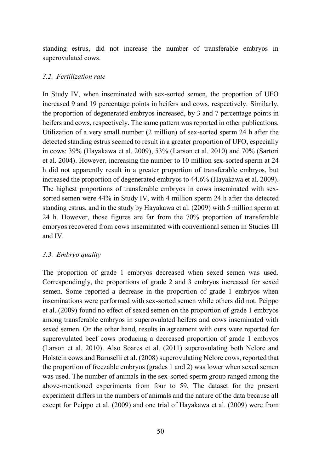standing estrus, did not increase the number of transferable embryos in superovulated cows.

#### *3.2. Fertilization rate*

In Study IV, when inseminated with sex-sorted semen, the proportion of UFO increased 9 and 19 percentage points in heifers and cows, respectively. Similarly, the proportion of degenerated embryos increased, by 3 and 7 percentage points in heifers and cows, respectively. The same pattern was reported in other publications. Utilization of a very small number (2 million) of sex-sorted sperm 24 h after the detected standing estrus seemed to result in a greater proportion of UFO, especially in cows: 39% (Hayakawa et al. 2009), 53% (Larson et al. 2010) and 70% (Sartori et al. 2004). However, increasing the number to 10 million sex-sorted sperm at 24 h did not apparently result in a greater proportion of transferable embryos, but increased the proportion of degenerated embryos to 44.6% (Hayakawa et al. 2009). The highest proportions of transferable embryos in cows inseminated with sexsorted semen were 44% in Study IV, with 4 million sperm 24 h after the detected standing estrus, and in the study by Hayakawa et al. (2009) with 5 million sperm at 24 h. However, those figures are far from the 70% proportion of transferable embryos recovered from cows inseminated with conventional semen in Studies III and IV.

### *3.3. Embryo quality*

The proportion of grade 1 embryos decreased when sexed semen was used. Correspondingly, the proportions of grade 2 and 3 embryos increased for sexed semen. Some reported a decrease in the proportion of grade 1 embryos when inseminations were performed with sex-sorted semen while others did not. Peippo et al. (2009) found no effect of sexed semen on the proportion of grade 1 embryos among transferable embryos in superovulated heifers and cows inseminated with sexed semen. On the other hand, results in agreement with ours were reported for superovulated beef cows producing a decreased proportion of grade 1 embryos (Larson et al. 2010). Also Soares et al. (2011) superovulating both Nelore and Holstein cows and Baruselli et al. (2008) superovulating Nelore cows, reported that the proportion of freezable embryos (grades 1 and 2) was lower when sexed semen was used. The number of animals in the sex-sorted sperm group ranged among the above-mentioned experiments from four to 59. The dataset for the present experiment differs in the numbers of animals and the nature of the data because all except for Peippo et al. (2009) and one trial of Hayakawa et al. (2009) were from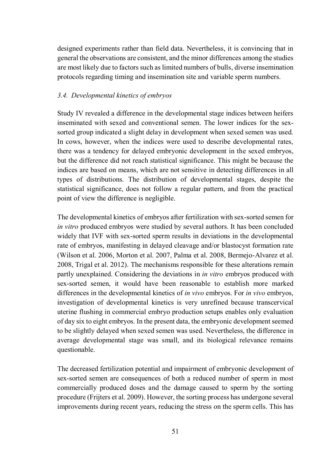designed experiments rather than field data. Nevertheless, it is convincing that in general the observations are consistent, and the minor differences among the studies are most likely due to factors such as limited numbers of bulls, diverse insemination protocols regarding timing and insemination site and variable sperm numbers.

#### *3.4. Developmental kinetics of embryos*

Study IV revealed a difference in the developmental stage indices between heifers inseminated with sexed and conventional semen. The lower indices for the sexsorted group indicated a slight delay in development when sexed semen was used. In cows, however, when the indices were used to describe developmental rates, there was a tendency for delayed embryonic development in the sexed embryos, but the difference did not reach statistical significance. This might be because the indices are based on means, which are not sensitive in detecting differences in all types of distributions. The distribution of developmental stages, despite the statistical significance, does not follow a regular pattern, and from the practical point of view the difference is negligible.

The developmental kinetics of embryos after fertilization with sex-sorted semen for *in vitro* produced embryos were studied by several authors. It has been concluded widely that IVF with sex-sorted sperm results in deviations in the developmental rate of embryos, manifesting in delayed cleavage and/or blastocyst formation rate (Wilson et al. 2006, Morton et al. 2007, Palma et al. 2008, Bermejo-Alvarez et al. 2008, Trigal et al. 2012). The mechanisms responsible for these alterations remain partly unexplained. Considering the deviations in *in vitro* embryos produced with sex-sorted semen, it would have been reasonable to establish more marked differences in the developmental kinetics of *in vivo* embryos. For *in vivo* embryos, investigation of developmental kinetics is very unrefined because transcervical uterine flushing in commercial embryo production setups enables only evaluation of day six to eight embryos. In the present data, the embryonic development seemed to be slightly delayed when sexed semen was used. Nevertheless, the difference in average developmental stage was small, and its biological relevance remains questionable.

The decreased fertilization potential and impairment of embryonic development of sex-sorted semen are consequences of both a reduced number of sperm in most commercially produced doses and the damage caused to sperm by the sorting procedure (Frijters et al. 2009). However, the sorting process has undergone several improvements during recent years, reducing the stress on the sperm cells. This has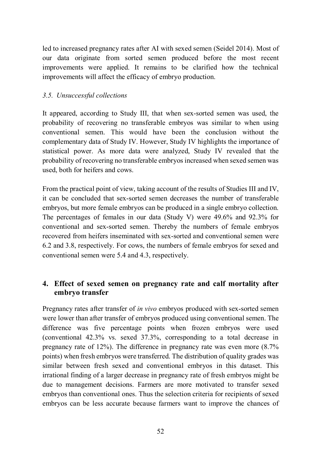led to increased pregnancy rates after AI with sexed semen (Seidel 2014). Most of our data originate from sorted semen produced before the most recent improvements were applied. It remains to be clarified how the technical improvements will affect the efficacy of embryo production.

#### *3.5. Unsuccessful collections*

It appeared, according to Study III, that when sex-sorted semen was used, the probability of recovering no transferable embryos was similar to when using conventional semen. This would have been the conclusion without the complementary data of Study IV. However, Study IV highlights the importance of statistical power. As more data were analyzed, Study IV revealed that the probability of recovering no transferable embryos increased when sexed semen was used, both for heifers and cows.

From the practical point of view, taking account of the results of Studies III and IV, it can be concluded that sex-sorted semen decreases the number of transferable embryos, but more female embryos can be produced in a single embryo collection. The percentages of females in our data (Study V) were 49.6% and 92.3% for conventional and sex-sorted semen. Thereby the numbers of female embryos recovered from heifers inseminated with sex-sorted and conventional semen were 6.2 and 3.8, respectively. For cows, the numbers of female embryos for sexed and conventional semen were 5.4 and 4.3, respectively.

## **4. Effect of sexed semen on pregnancy rate and calf mortality after embryo transfer**

Pregnancy rates after transfer of *in vivo* embryos produced with sex-sorted semen were lower than after transfer of embryos produced using conventional semen. The difference was five percentage points when frozen embryos were used (conventional 42.3% vs. sexed 37.3%, corresponding to a total decrease in pregnancy rate of 12%). The difference in pregnancy rate was even more (8.7% points) when fresh embryos were transferred. The distribution of quality grades was similar between fresh sexed and conventional embryos in this dataset. This irrational finding of a larger decrease in pregnancy rate of fresh embryos might be due to management decisions. Farmers are more motivated to transfer sexed embryos than conventional ones. Thus the selection criteria for recipients of sexed embryos can be less accurate because farmers want to improve the chances of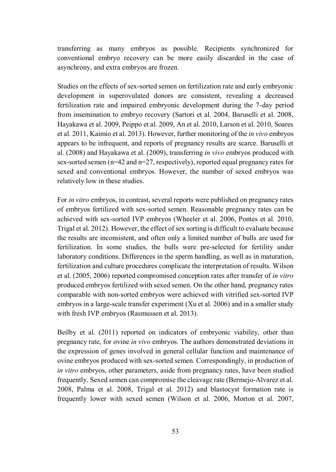transferring as many embryos as possible. Recipients synchronized for conventional embryo recovery can be more easily discarded in the case of asynchrony, and extra embryos are frozen.

Studies on the effects of sex-sorted semen on fertilization rate and early embryonic development in superovulated donors are consistent, revealing a decreased fertilization rate and impaired embryonic development during the 7-day period from insemination to embryo recovery (Sartori et al. 2004, Baruselli et al. 2008, Hayakawa et al. 2009, Peippo et al. 2009, An et al. 2010, Larson et al. 2010, Soares et al. 2011, Kaimio et al. 2013). However, further monitoring of the *in vivo* embryos appears to be infrequent, and reports of pregnancy results are scarce. Baruselli et al. (2008) and Hayakawa et al. (2009), transferring *in vivo* embryos produced with sex-sorted semen (n=42 and n=27, respectively), reported equal pregnancy rates for sexed and conventional embryos. However, the number of sexed embryos was relatively low in these studies.

For *in vitro* embryos, in contrast, several reports were published on pregnancy rates of embryos fertilized with sex-sorted semen. Reasonable pregnancy rates can be achieved with sex-sorted IVP embryos (Wheeler et al. 2006, Pontes et al. 2010, Trigal et al. 2012). However, the effect of sex sorting is difficult to evaluate because the results are inconsistent, and often only a limited number of bulls are used for fertilization. In some studies, the bulls were pre-selected for fertility under laboratory conditions. Differences in the sperm handling, as well as in maturation, fertilization and culture procedures complicate the interpretation of results. Wilson et al. (2005, 2006) reported compromised conception rates after transfer of *in vitro* produced embryos fertilized with sexed semen. On the other hand, pregnancy rates comparable with non-sorted embryos were achieved with vitrified sex-sorted IVP embryos in a large-scale transfer experiment (Xu et al. 2006) and in a smaller study with fresh IVP embryos (Rasmussen et al. 2013).

Beilby et al. (2011) reported on indicators of embryonic viability, other than pregnancy rate, for ovine *in vivo* embryos. The authors demonstrated deviations in the expression of genes involved in general cellular function and maintenance of ovine embryos produced with sex-sorted semen. Correspondingly, in production of *in vitro* embryos, other parameters, aside from pregnancy rates, have been studied frequently. Sexed semen can compromise the cleavage rate (Bermejo-Alvarez et al. 2008, Palma et al. 2008, Trigal et al. 2012) and blastocyst formation rate is frequently lower with sexed semen (Wilson et al. 2006, Morton et al. 2007,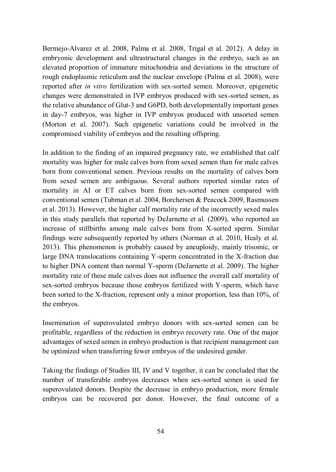Bermejo-Alvarez et al. 2008, Palma et al. 2008, Trigal et al. 2012). A delay in embryonic development and ultrastructural changes in the embryo, such as an elevated proportion of immature mitochondria and deviations in the structure of rough endoplasmic reticulum and the nuclear envelope (Palma et al. 2008), were reported after *in vitro* fertilization with sex-sorted semen. Moreover, epigenetic changes were demonstrated in IVP embryos produced with sex-sorted semen, as the relative abundance of Glut-3 and G6PD, both developmentally important genes in day-7 embryos, was higher in IVP embryos produced with unsorted semen (Morton et al. 2007). Such epigenetic variations could be involved in the compromised viability of embryos and the resulting offspring.

In addition to the finding of an impaired pregnancy rate, we established that calf mortality was higher for male calves born from sexed semen than for male calves born from conventional semen. Previous results on the mortality of calves born from sexed semen are ambiguous. Several authors reported similar rates of mortality in AI or ET calves born from sex-sorted semen compared with conventional semen (Tubman et al. 2004, Borchersen & Peacock 2009, Rasmussen et al. 2013). However, the higher calf mortality rate of the incorrectly sexed males in this study parallels that reported by DeJarnette et al. (2009), who reported an increase of stillbirths among male calves born from X-sorted sperm. Similar findings were subsequently reported by others (Norman et al. 2010, Healy et al. 2013). This phenomenon is probably caused by aneuploidy, mainly trisomic, or large DNA translocations containing Y-sperm concentrated in the X-fraction due to higher DNA content than normal Y-sperm (DeJarnette et al. 2009). The higher mortality rate of these male calves does not influence the overall calf mortality of sex-sorted embryos because those embryos fertilized with Y-sperm, which have been sorted to the X-fraction, represent only a minor proportion, less than 10%, of the embryos.

Insemination of superovulated embryo donors with sex-sorted semen can be profitable, regardless of the reduction in embryo recovery rate. One of the major advantages of sexed semen in embryo production is that recipient management can be optimized when transferring fewer embryos of the undesired gender.

Taking the findings of Studies III, IV and V together, it can be concluded that the number of transferable embryos decreases when sex-sorted semen is used for superovulated donors. Despite the decrease in embryo production, more female embryos can be recovered per donor. However, the final outcome of a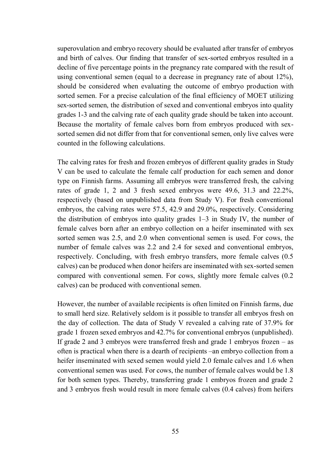superovulation and embryo recovery should be evaluated after transfer of embryos and birth of calves. Our finding that transfer of sex-sorted embryos resulted in a decline of five percentage points in the pregnancy rate compared with the result of using conventional semen (equal to a decrease in pregnancy rate of about 12%), should be considered when evaluating the outcome of embryo production with sorted semen. For a precise calculation of the final efficiency of MOET utilizing sex-sorted semen, the distribution of sexed and conventional embryos into quality grades 1-3 and the calving rate of each quality grade should be taken into account. Because the mortality of female calves born from embryos produced with sexsorted semen did not differ from that for conventional semen, only live calves were counted in the following calculations.

The calving rates for fresh and frozen embryos of different quality grades in Study V can be used to calculate the female calf production for each semen and donor type on Finnish farms. Assuming all embryos were transferred fresh, the calving rates of grade 1, 2 and 3 fresh sexed embryos were 49.6, 31.3 and 22.2%, respectively (based on unpublished data from Study V). For fresh conventional embryos, the calving rates were 57.5, 42.9 and 29.0%, respectively. Considering the distribution of embryos into quality grades 1–3 in Study IV, the number of female calves born after an embryo collection on a heifer inseminated with sex sorted semen was 2.5, and 2.0 when conventional semen is used. For cows, the number of female calves was 2.2 and 2.4 for sexed and conventional embryos, respectively. Concluding, with fresh embryo transfers, more female calves (0.5 calves) can be produced when donor heifers are inseminated with sex-sorted semen compared with conventional semen. For cows, slightly more female calves (0.2 calves) can be produced with conventional semen.

However, the number of available recipients is often limited on Finnish farms, due to small herd size. Relatively seldom is it possible to transfer all embryos fresh on the day of collection. The data of Study V revealed a calving rate of 37.9% for grade 1 frozen sexed embryos and 42.7% for conventional embryos (unpublished). If grade 2 and 3 embryos were transferred fresh and grade 1 embryos frozen – as often is practical when there is a dearth of recipients –an embryo collection from a heifer inseminated with sexed semen would yield 2.0 female calves and 1.6 when conventional semen was used. For cows, the number of female calves would be 1.8 for both semen types. Thereby, transferring grade 1 embryos frozen and grade 2 and 3 embryos fresh would result in more female calves (0.4 calves) from heifers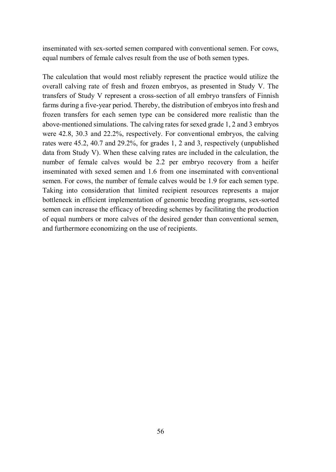inseminated with sex-sorted semen compared with conventional semen. For cows, equal numbers of female calves result from the use of both semen types.

The calculation that would most reliably represent the practice would utilize the overall calving rate of fresh and frozen embryos, as presented in Study V. The transfers of Study V represent a cross-section of all embryo transfers of Finnish farms during a five-year period. Thereby, the distribution of embryos into fresh and frozen transfers for each semen type can be considered more realistic than the above-mentioned simulations. The calving rates for sexed grade 1, 2 and 3 embryos were 42.8, 30.3 and 22.2%, respectively. For conventional embryos, the calving rates were 45.2, 40.7 and 29.2%, for grades 1, 2 and 3, respectively (unpublished data from Study V). When these calving rates are included in the calculation, the number of female calves would be 2.2 per embryo recovery from a heifer inseminated with sexed semen and 1.6 from one inseminated with conventional semen. For cows, the number of female calves would be 1.9 for each semen type. Taking into consideration that limited recipient resources represents a major bottleneck in efficient implementation of genomic breeding programs, sex-sorted semen can increase the efficacy of breeding schemes by facilitating the production of equal numbers or more calves of the desired gender than conventional semen, and furthermore economizing on the use of recipients.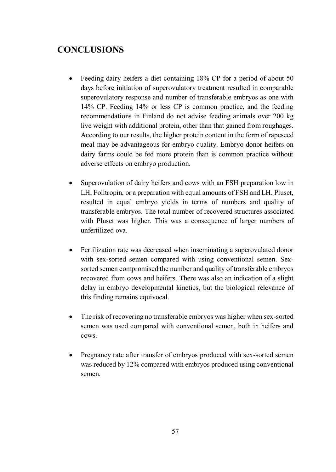# **CONCLUSIONS**

- Feeding dairy heifers a diet containing 18% CP for a period of about 50 days before initiation of superovulatory treatment resulted in comparable superovulatory response and number of transferable embryos as one with 14% CP. Feeding 14% or less CP is common practice, and the feeding recommendations in Finland do not advise feeding animals over 200 kg live weight with additional protein, other than that gained from roughages. According to our results, the higher protein content in the form of rapeseed meal may be advantageous for embryo quality. Embryo donor heifers on dairy farms could be fed more protein than is common practice without adverse effects on embryo production.
- Superovulation of dairy heifers and cows with an FSH preparation low in LH, Folltropin, or a preparation with equal amounts of FSH and LH, Pluset, resulted in equal embryo yields in terms of numbers and quality of transferable embryos. The total number of recovered structures associated with Pluset was higher. This was a consequence of larger numbers of unfertilized ova.
- Fertilization rate was decreased when inseminating a superovulated donor with sex-sorted semen compared with using conventional semen. Sexsorted semen compromised the number and quality of transferable embryos recovered from cows and heifers. There was also an indication of a slight delay in embryo developmental kinetics, but the biological relevance of this finding remains equivocal.
- The risk of recovering no transferable embryos was higher when sex-sorted semen was used compared with conventional semen, both in heifers and cows.
- Pregnancy rate after transfer of embryos produced with sex-sorted semen was reduced by 12% compared with embryos produced using conventional semen.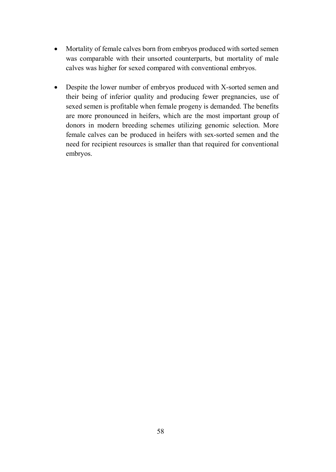- Mortality of female calves born from embryos produced with sorted semen was comparable with their unsorted counterparts, but mortality of male calves was higher for sexed compared with conventional embryos.
- Despite the lower number of embryos produced with X-sorted semen and their being of inferior quality and producing fewer pregnancies, use of sexed semen is profitable when female progeny is demanded. The benefits are more pronounced in heifers, which are the most important group of donors in modern breeding schemes utilizing genomic selection. More female calves can be produced in heifers with sex-sorted semen and the need for recipient resources is smaller than that required for conventional embryos.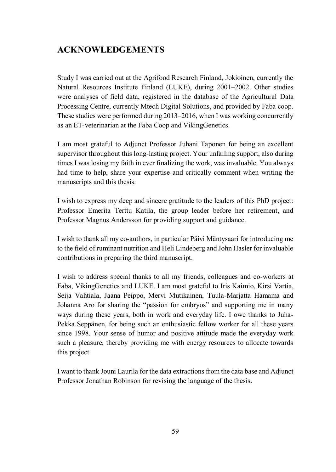# **ACKNOWLEDGEMENTS**

Study I was carried out at the Agrifood Research Finland, Jokioinen, currently the Natural Resources Institute Finland (LUKE), during 2001–2002. Other studies were analyses of field data, registered in the database of the Agricultural Data Processing Centre, currently Mtech Digital Solutions, and provided by Faba coop. These studies were performed during 2013–2016, when I was working concurrently as an ET-veterinarian at the Faba Coop and VikingGenetics.

I am most grateful to Adjunct Professor Juhani Taponen for being an excellent supervisor throughout this long-lasting project. Your unfailing support, also during times I was losing my faith in ever finalizing the work, was invaluable. You always had time to help, share your expertise and critically comment when writing the manuscripts and this thesis.

I wish to express my deep and sincere gratitude to the leaders of this PhD project: Professor Emerita Terttu Katila, the group leader before her retirement, and Professor Magnus Andersson for providing support and guidance.

I wish to thank all my co-authors, in particular Päivi Mäntysaari for introducing me to the field of ruminant nutrition and Heli Lindeberg and John Hasler for invaluable contributions in preparing the third manuscript.

I wish to address special thanks to all my friends, colleagues and co-workers at Faba, VikingGenetics and LUKE. I am most grateful to Iris Kaimio, Kirsi Vartia, Seija Vahtiala, Jaana Peippo, Mervi Mutikainen, Tuula-Marjatta Hamama and Johanna Aro for sharing the "passion for embryos" and supporting me in many ways during these years, both in work and everyday life. I owe thanks to Juha-Pekka Seppänen, for being such an enthusiastic fellow worker for all these years since 1998. Your sense of humor and positive attitude made the everyday work such a pleasure, thereby providing me with energy resources to allocate towards this project.

I want to thank Jouni Laurila for the data extractions from the data base and Adjunct Professor Jonathan Robinson for revising the language of the thesis.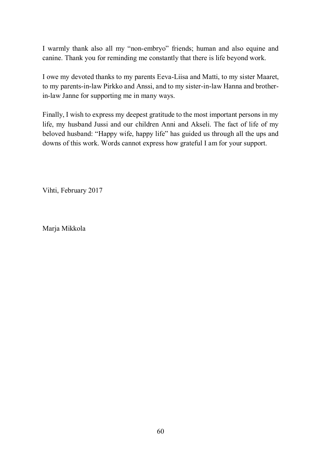I warmly thank also all my "non-embryo" friends; human and also equine and canine. Thank you for reminding me constantly that there is life beyond work.

I owe my devoted thanks to my parents Eeva-Liisa and Matti, to my sister Maaret, to my parents-in-law Pirkko and Anssi, and to my sister-in-law Hanna and brotherin-law Janne for supporting me in many ways.

Finally, I wish to express my deepest gratitude to the most important persons in my life, my husband Jussi and our children Anni and Akseli. The fact of life of my beloved husband: "Happy wife, happy life" has guided us through all the ups and downs of this work. Words cannot express how grateful I am for your support.

Vihti, February 2017

Marja Mikkola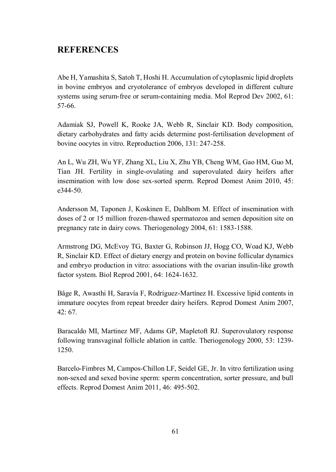# **REFERENCES**

Abe H, Yamashita S, Satoh T, Hoshi H. Accumulation of cytoplasmic lipid droplets in bovine embryos and cryotolerance of embryos developed in different culture systems using serum-free or serum-containing media. Mol Reprod Dev 2002, 61: 57-66.

Adamiak SJ, Powell K, Rooke JA, Webb R, Sinclair KD. Body composition, dietary carbohydrates and fatty acids determine post-fertilisation development of bovine oocytes in vitro. Reproduction 2006, 131: 247-258.

An L, Wu ZH, Wu YF, Zhang XL, Liu X, Zhu YB, Cheng WM, Gao HM, Guo M, Tian JH. Fertility in single-ovulating and superovulated dairy heifers after insemination with low dose sex-sorted sperm. Reprod Domest Anim 2010, 45: e344-50.

Andersson M, Taponen J, Koskinen E, Dahlbom M. Effect of insemination with doses of 2 or 15 million frozen-thawed spermatozoa and semen deposition site on pregnancy rate in dairy cows. Theriogenology 2004, 61: 1583-1588.

Armstrong DG, McEvoy TG, Baxter G, Robinson JJ, Hogg CO, Woad KJ, Webb R, Sinclair KD. Effect of dietary energy and protein on bovine follicular dynamics and embryo production in vitro: associations with the ovarian insulin-like growth factor system. Biol Reprod 2001, 64: 1624-1632.

Båge R, Awasthi H, Saravía F, Rodríguez-Martínez H. Excessive lipid contents in immature oocytes from repeat breeder dairy heifers. Reprod Domest Anim 2007, 42: 67.

Baracaldo MI, Martinez MF, Adams GP, Mapletoft RJ. Superovulatory response following transvaginal follicle ablation in cattle. Theriogenology 2000, 53: 1239- 1250.

Barcelo-Fimbres M, Campos-Chillon LF, Seidel GE, Jr. In vitro fertilization using non-sexed and sexed bovine sperm: sperm concentration, sorter pressure, and bull effects. Reprod Domest Anim 2011, 46: 495-502.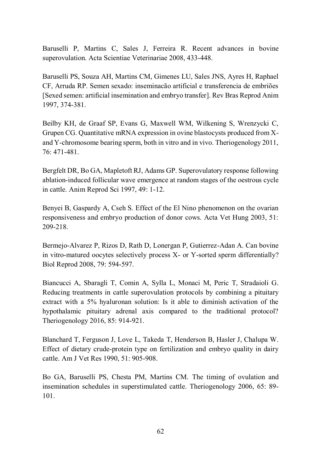Baruselli P, Martins C, Sales J, Ferreira R. Recent advances in bovine superovulation. Acta Scientiae Veterinariae 2008, 433-448.

Baruselli PS, Souza AH, Martins CM, Gimenes LU, Sales JNS, Ayres H, Raphael CF, Arruda RP. Semen sexado: inseminacão artificial e transferencia de embriões [Sexed semen: artificial insemination and embryo transfer]. Rev Bras Reprod Anim 1997, 374-381.

Beilby KH, de Graaf SP, Evans G, Maxwell WM, Wilkening S, Wrenzycki C, Grupen CG. Quantitative mRNA expression in ovine blastocysts produced from Xand Y-chromosome bearing sperm, both in vitro and in vivo. Theriogenology 2011,  $76 \cdot 471 - 481$ 

Bergfelt DR, Bo GA, Mapletoft RJ, Adams GP. Superovulatory response following ablation-induced follicular wave emergence at random stages of the oestrous cycle in cattle. Anim Reprod Sci 1997, 49: 1-12.

Benyei B, Gaspardy A, Cseh S. Effect of the El Nino phenomenon on the ovarian responsiveness and embryo production of donor cows. Acta Vet Hung 2003, 51: 209-218.

Bermejo-Alvarez P, Rizos D, Rath D, Lonergan P, Gutierrez-Adan A. Can bovine in vitro-matured oocytes selectively process X- or Y-sorted sperm differentially? Biol Reprod 2008, 79: 594-597.

Biancucci A, Sbaragli T, Comin A, Sylla L, Monaci M, Peric T, Stradaioli G. Reducing treatments in cattle superovulation protocols by combining a pituitary extract with a 5% hyaluronan solution: Is it able to diminish activation of the hypothalamic pituitary adrenal axis compared to the traditional protocol? Theriogenology 2016, 85: 914-921.

Blanchard T, Ferguson J, Love L, Takeda T, Henderson B, Hasler J, Chalupa W. Effect of dietary crude-protein type on fertilization and embryo quality in dairy cattle. Am J Vet Res 1990, 51: 905-908.

Bo GA, Baruselli PS, Chesta PM, Martins CM. The timing of ovulation and insemination schedules in superstimulated cattle. Theriogenology 2006, 65: 89- 101.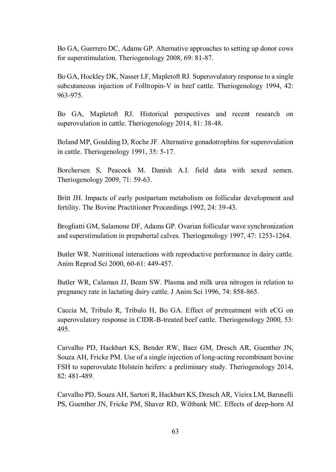Bo GA, Guerrero DC, Adams GP. Alternative approaches to setting up donor cows for superstimulation. Theriogenology 2008, 69: 81-87.

Bo GA, Hockley DK, Nasser LF, Mapletoft RJ. Superovulatory response to a single subcutaneous injection of Folltropin-V in beef cattle. Theriogenology 1994, 42: 963-975.

Bo GA, Mapletoft RJ. Historical perspectives and recent research on superovulation in cattle. Theriogenology 2014, 81: 38-48.

Boland MP, Goulding D, Roche JF. Alternative gonadotrophins for superovulation in cattle. Theriogenology 1991, 35: 5-17.

Borchersen S, Peacock M. Danish A.I. field data with sexed semen. Theriogenology 2009, 71: 59-63.

Britt JH. Impacts of early postpartum metabolism on follicular development and fertility. The Bovine Practitioner Proceedings 1992, 24: 39-43.

Brogliatti GM, Salamone DF, Adams GP. Ovarian follicular wave synchronization and superstimulation in prepubertal calves. Theriogenology 1997, 47: 1253-1264.

Butler WR. Nutritional interactions with reproductive performance in dairy cattle. Anim Reprod Sci 2000, 60-61: 449-457.

Butler WR, Calaman JJ, Beam SW. Plasma and milk urea nitrogen in relation to pregnancy rate in lactating dairy cattle. J Anim Sci 1996, 74: 858-865.

Caccia M, Tribulo R, Tribulo H, Bo GA. Effect of pretreatment with eCG on superovulatory response in CIDR-B-treated beef cattle. Theriogenology 2000, 53: 495.

Carvalho PD, Hackbart KS, Bender RW, Baez GM, Dresch AR, Guenther JN, Souza AH, Fricke PM. Use of a single injection of long-acting recombinant bovine FSH to superovulate Holstein heifers: a preliminary study. Theriogenology 2014, 82: 481-489.

Carvalho PD, Souza AH, Sartori R, Hackbart KS, Dresch AR, Vieira LM, Baruselli PS, Guenther JN, Fricke PM, Shaver RD, Wiltbank MC. Effects of deep-horn AI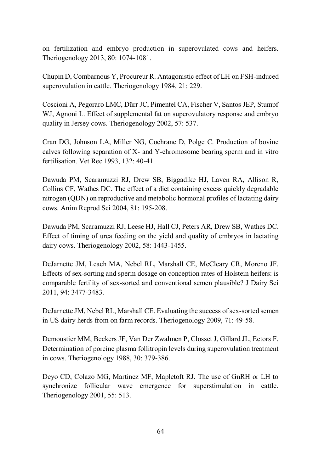on fertilization and embryo production in superovulated cows and heifers. Theriogenology 2013, 80: 1074-1081.

Chupin D, Combarnous Y, Procureur R. Antagonistic effect of LH on FSH-induced superovulation in cattle. Theriogenology 1984, 21: 229.

Coscioni A, Pegoraro LMC, Dürr JC, Pimentel CA, Fischer V, Santos JEP, Stumpf WJ, Agnoni L. Effect of supplemental fat on superovulatory response and embryo quality in Jersey cows. Theriogenology 2002, 57: 537.

Cran DG, Johnson LA, Miller NG, Cochrane D, Polge C. Production of bovine calves following separation of X- and Y-chromosome bearing sperm and in vitro fertilisation. Vet Rec 1993, 132: 40-41.

Dawuda PM, Scaramuzzi RJ, Drew SB, Biggadike HJ, Laven RA, Allison R, Collins CF, Wathes DC. The effect of a diet containing excess quickly degradable nitrogen (QDN) on reproductive and metabolic hormonal profiles of lactating dairy cows. Anim Reprod Sci 2004, 81: 195-208.

Dawuda PM, Scaramuzzi RJ, Leese HJ, Hall CJ, Peters AR, Drew SB, Wathes DC. Effect of timing of urea feeding on the yield and quality of embryos in lactating dairy cows. Theriogenology 2002, 58: 1443-1455.

DeJarnette JM, Leach MA, Nebel RL, Marshall CE, McCleary CR, Moreno JF. Effects of sex-sorting and sperm dosage on conception rates of Holstein heifers: is comparable fertility of sex-sorted and conventional semen plausible? J Dairy Sci 2011, 94: 3477-3483.

DeJarnette JM, Nebel RL, Marshall CE. Evaluating the success of sex-sorted semen in US dairy herds from on farm records. Theriogenology 2009, 71: 49-58.

Demoustier MM, Beckers JF, Van Der Zwalmen P, Closset J, Gillard JL, Ectors F. Determination of porcine plasma follitropin levels during superovulation treatment in cows. Theriogenology 1988, 30: 379-386.

Deyo CD, Colazo MG, Martinez MF, Mapletoft RJ. The use of GnRH or LH to synchronize follicular wave emergence for superstimulation in cattle. Theriogenology 2001, 55: 513.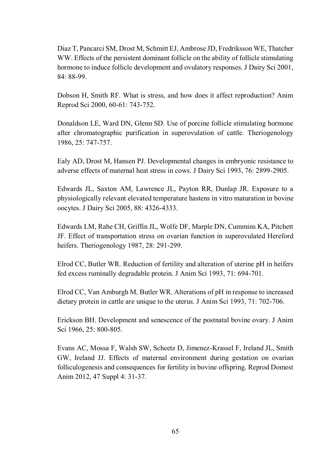Diaz T, Pancarci SM, Drost M, Schmitt EJ, Ambrose JD, Fredriksson WE, Thatcher WW. Effects of the persistent dominant follicle on the ability of follicle stimulating hormone to induce follicle development and ovulatory responses. J Dairy Sci 2001, 84: 88-99.

Dobson H, Smith RF. What is stress, and how does it affect reproduction? Anim Reprod Sci 2000, 60-61: 743-752.

Donaldson LE, Ward DN, Glenn SD. Use of porcine follicle stimulating hormone after chromatographic purification in superovulation of cattle. Theriogenology 1986, 25: 747-757.

Ealy AD, Drost M, Hansen PJ. Developmental changes in embryonic resistance to adverse effects of maternal heat stress in cows. J Dairy Sci 1993, 76: 2899-2905.

Edwards JL, Saxton AM, Lawrence JL, Payton RR, Dunlap JR. Exposure to a physiologically relevant elevated temperature hastens in vitro maturation in bovine oocytes. J Dairy Sci 2005, 88: 4326-4333.

Edwards LM, Rahe CH, Griffin JL, Wolfe DF, Marple DN, Cummins KA, Pitchett JF. Effect of transportation stress on ovarian function in superovulated Hereford heifers. Theriogenology 1987, 28: 291-299.

Elrod CC, Butler WR. Reduction of fertility and alteration of uterine pH in heifers fed excess ruminally degradable protein. J Anim Sci 1993, 71: 694-701.

Elrod CC, Van Amburgh M, Butler WR. Alterations of pH in response to increased dietary protein in cattle are unique to the uterus. J Anim Sci 1993, 71: 702-706.

Erickson BH. Development and senescence of the postnatal bovine ovary. J Anim Sci 1966, 25: 800-805.

Evans AC, Mossa F, Walsh SW, Scheetz D, Jimenez-Krassel F, Ireland JL, Smith GW, Ireland JJ. Effects of maternal environment during gestation on ovarian folliculogenesis and consequences for fertility in bovine offspring. Reprod Domest Anim 2012, 47 Suppl 4: 31-37.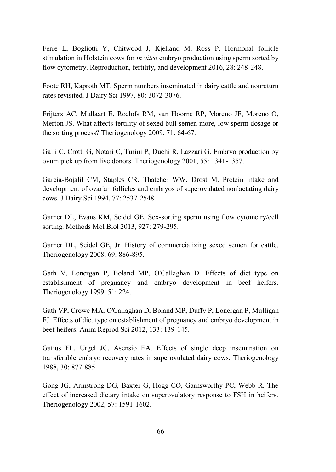Ferré L, Bogliotti Y, Chitwood J, Kjelland M, Ross P. Hormonal follicle stimulation in Holstein cows for *in vitro* embryo production using sperm sorted by flow cytometry. Reproduction, fertility, and development 2016, 28: 248-248.

Foote RH, Kaproth MT. Sperm numbers inseminated in dairy cattle and nonreturn rates revisited. J Dairy Sci 1997, 80: 3072-3076.

Frijters AC, Mullaart E, Roelofs RM, van Hoorne RP, Moreno JF, Moreno O, Merton JS. What affects fertility of sexed bull semen more, low sperm dosage or the sorting process? Theriogenology 2009, 71: 64-67.

Galli C, Crotti G, Notari C, Turini P, Duchi R, Lazzari G. Embryo production by ovum pick up from live donors. Theriogenology 2001, 55: 1341-1357.

Garcia-Bojalil CM, Staples CR, Thatcher WW, Drost M. Protein intake and development of ovarian follicles and embryos of superovulated nonlactating dairy cows. J Dairy Sci 1994, 77: 2537-2548.

Garner DL, Evans KM, Seidel GE. Sex-sorting sperm using flow cytometry/cell sorting. Methods Mol Biol 2013, 927: 279-295.

Garner DL, Seidel GE, Jr. History of commercializing sexed semen for cattle. Theriogenology 2008, 69: 886-895.

Gath V, Lonergan P, Boland MP, O'Callaghan D. Effects of diet type on establishment of pregnancy and embryo development in beef heifers. Theriogenology 1999, 51: 224.

Gath VP, Crowe MA, O'Callaghan D, Boland MP, Duffy P, Lonergan P, Mulligan FJ. Effects of diet type on establishment of pregnancy and embryo development in beef heifers. Anim Reprod Sci 2012, 133: 139-145.

Gatius FL, Urgel JC, Asensio EA. Effects of single deep insemination on transferable embryo recovery rates in superovulated dairy cows. Theriogenology 1988, 30: 877-885.

Gong JG, Armstrong DG, Baxter G, Hogg CO, Garnsworthy PC, Webb R. The effect of increased dietary intake on superovulatory response to FSH in heifers. Theriogenology 2002, 57: 1591-1602.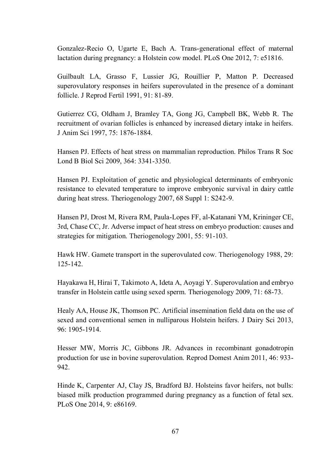Gonzalez-Recio O, Ugarte E, Bach A. Trans-generational effect of maternal lactation during pregnancy: a Holstein cow model. PLoS One 2012, 7: e51816.

Guilbault LA, Grasso F, Lussier JG, Rouillier P, Matton P. Decreased superovulatory responses in heifers superovulated in the presence of a dominant follicle. J Reprod Fertil 1991, 91: 81-89.

Gutierrez CG, Oldham J, Bramley TA, Gong JG, Campbell BK, Webb R. The recruitment of ovarian follicles is enhanced by increased dietary intake in heifers. J Anim Sci 1997, 75: 1876-1884.

Hansen PJ. Effects of heat stress on mammalian reproduction. Philos Trans R Soc Lond B Biol Sci 2009, 364: 3341-3350.

Hansen PJ. Exploitation of genetic and physiological determinants of embryonic resistance to elevated temperature to improve embryonic survival in dairy cattle during heat stress. Theriogenology 2007, 68 Suppl 1: S242-9.

Hansen PJ, Drost M, Rivera RM, Paula-Lopes FF, al-Katanani YM, Krininger CE, 3rd, Chase CC, Jr. Adverse impact of heat stress on embryo production: causes and strategies for mitigation. Theriogenology 2001, 55: 91-103.

Hawk HW. Gamete transport in the superovulated cow. Theriogenology 1988, 29: 125-142.

Hayakawa H, Hirai T, Takimoto A, Ideta A, Aoyagi Y. Superovulation and embryo transfer in Holstein cattle using sexed sperm. Theriogenology 2009, 71: 68-73.

Healy AA, House JK, Thomson PC. Artificial insemination field data on the use of sexed and conventional semen in nulliparous Holstein heifers. J Dairy Sci 2013, 96: 1905-1914.

Hesser MW, Morris JC, Gibbons JR. Advances in recombinant gonadotropin production for use in bovine superovulation. Reprod Domest Anim 2011, 46: 933- 942.

Hinde K, Carpenter AJ, Clay JS, Bradford BJ. Holsteins favor heifers, not bulls: biased milk production programmed during pregnancy as a function of fetal sex. PLoS One 2014, 9: e86169.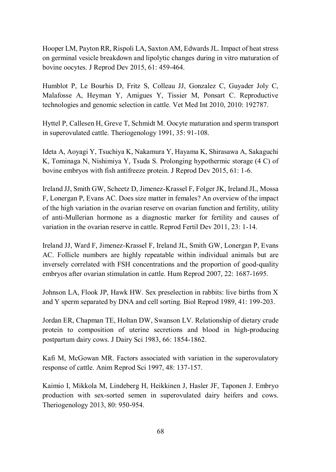Hooper LM, Payton RR, Rispoli LA, Saxton AM, Edwards JL. Impact of heat stress on germinal vesicle breakdown and lipolytic changes during in vitro maturation of bovine oocytes. J Reprod Dev 2015, 61: 459-464.

Humblot P, Le Bourhis D, Fritz S, Colleau JJ, Gonzalez C, Guyader Joly C, Malafosse A, Heyman Y, Amigues Y, Tissier M, Ponsart C. Reproductive technologies and genomic selection in cattle. Vet Med Int 2010, 2010: 192787.

Hyttel P, Callesen H, Greve T, Schmidt M. Oocyte maturation and sperm transport in superovulated cattle. Theriogenology 1991, 35: 91-108.

Ideta A, Aoyagi Y, Tsuchiya K, Nakamura Y, Hayama K, Shirasawa A, Sakaguchi K, Tominaga N, Nishimiya Y, Tsuda S. Prolonging hypothermic storage (4 C) of bovine embryos with fish antifreeze protein. J Reprod Dev 2015, 61: 1-6.

Ireland JJ, Smith GW, Scheetz D, Jimenez-Krassel F, Folger JK, Ireland JL, Mossa F, Lonergan P, Evans AC. Does size matter in females? An overview of the impact of the high variation in the ovarian reserve on ovarian function and fertility, utility of anti-Mullerian hormone as a diagnostic marker for fertility and causes of variation in the ovarian reserve in cattle. Reprod Fertil Dev 2011, 23: 1-14.

Ireland JJ, Ward F, Jimenez-Krassel F, Ireland JL, Smith GW, Lonergan P, Evans AC. Follicle numbers are highly repeatable within individual animals but are inversely correlated with FSH concentrations and the proportion of good-quality embryos after ovarian stimulation in cattle. Hum Reprod 2007, 22: 1687-1695.

Johnson LA, Flook JP, Hawk HW. Sex preselection in rabbits: live births from X and Y sperm separated by DNA and cell sorting. Biol Reprod 1989, 41: 199-203.

Jordan ER, Chapman TE, Holtan DW, Swanson LV. Relationship of dietary crude protein to composition of uterine secretions and blood in high-producing postpartum dairy cows. J Dairy Sci 1983, 66: 1854-1862.

Kafi M, McGowan MR. Factors associated with variation in the superovulatory response of cattle. Anim Reprod Sci 1997, 48: 137-157.

Kaimio I, Mikkola M, Lindeberg H, Heikkinen J, Hasler JF, Taponen J. Embryo production with sex-sorted semen in superovulated dairy heifers and cows. Theriogenology 2013, 80: 950-954.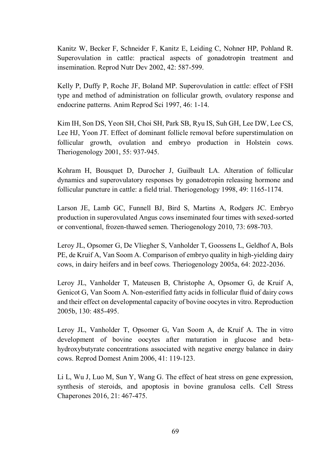Kanitz W, Becker F, Schneider F, Kanitz E, Leiding C, Nohner HP, Pohland R. Superovulation in cattle: practical aspects of gonadotropin treatment and insemination. Reprod Nutr Dev 2002, 42: 587-599.

Kelly P, Duffy P, Roche JF, Boland MP. Superovulation in cattle: effect of FSH type and method of administration on follicular growth, ovulatory response and endocrine patterns. Anim Reprod Sci 1997, 46: 1-14.

Kim IH, Son DS, Yeon SH, Choi SH, Park SB, Ryu IS, Suh GH, Lee DW, Lee CS, Lee HJ, Yoon JT. Effect of dominant follicle removal before superstimulation on follicular growth, ovulation and embryo production in Holstein cows. Theriogenology 2001, 55: 937-945.

Kohram H, Bousquet D, Durocher J, Guilbault LA. Alteration of follicular dynamics and superovulatory responses by gonadotropin releasing hormone and follicular puncture in cattle: a field trial. Theriogenology 1998, 49: 1165-1174.

Larson JE, Lamb GC, Funnell BJ, Bird S, Martins A, Rodgers JC. Embryo production in superovulated Angus cows inseminated four times with sexed-sorted or conventional, frozen-thawed semen. Theriogenology 2010, 73: 698-703.

Leroy JL, Opsomer G, De Vliegher S, Vanholder T, Goossens L, Geldhof A, Bols PE, de Kruif A, Van Soom A. Comparison of embryo quality in high-yielding dairy cows, in dairy heifers and in beef cows. Theriogenology 2005a, 64: 2022-2036.

Leroy JL, Vanholder T, Mateusen B, Christophe A, Opsomer G, de Kruif A, Genicot G, Van Soom A. Non-esterified fatty acids in follicular fluid of dairy cows and their effect on developmental capacity of bovine oocytes in vitro. Reproduction 2005b, 130: 485-495.

Leroy JL, Vanholder T, Opsomer G, Van Soom A, de Kruif A. The in vitro development of bovine oocytes after maturation in glucose and betahydroxybutyrate concentrations associated with negative energy balance in dairy cows. Reprod Domest Anim 2006, 41: 119-123.

Li L, Wu J, Luo M, Sun Y, Wang G. The effect of heat stress on gene expression, synthesis of steroids, and apoptosis in bovine granulosa cells. Cell Stress Chaperones 2016, 21: 467-475.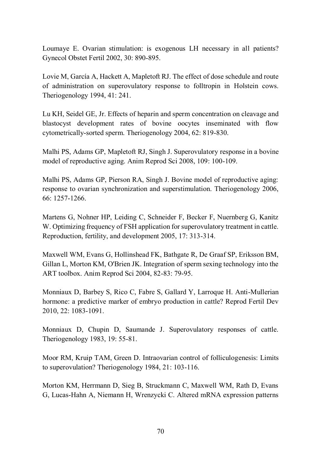Loumaye E. Ovarian stimulation: is exogenous LH necessary in all patients? Gynecol Obstet Fertil 2002, 30: 890-895.

Lovie M, García A, Hackett A, Mapletoft RJ. The effect of dose schedule and route of administration on superovulatory response to folltropin in Holstein cows. Theriogenology 1994, 41: 241.

Lu KH, Seidel GE, Jr. Effects of heparin and sperm concentration on cleavage and blastocyst development rates of bovine oocytes inseminated with flow cytometrically-sorted sperm. Theriogenology 2004, 62: 819-830.

Malhi PS, Adams GP, Mapletoft RJ, Singh J. Superovulatory response in a bovine model of reproductive aging. Anim Reprod Sci 2008, 109: 100-109.

Malhi PS, Adams GP, Pierson RA, Singh J. Bovine model of reproductive aging: response to ovarian synchronization and superstimulation. Theriogenology 2006, 66: 1257-1266.

Martens G, Nohner HP, Leiding C, Schneider F, Becker F, Nuernberg G, Kanitz W. Optimizing frequency of FSH application for superovulatory treatment in cattle. Reproduction, fertility, and development 2005, 17: 313-314.

Maxwell WM, Evans G, Hollinshead FK, Bathgate R, De Graaf SP, Eriksson BM, Gillan L, Morton KM, O'Brien JK. Integration of sperm sexing technology into the ART toolbox. Anim Reprod Sci 2004, 82-83: 79-95.

Monniaux D, Barbey S, Rico C, Fabre S, Gallard Y, Larroque H. Anti-Mullerian hormone: a predictive marker of embryo production in cattle? Reprod Fertil Dev 2010, 22: 1083-1091.

Monniaux D, Chupin D, Saumande J. Superovulatory responses of cattle. Theriogenology 1983, 19: 55-81.

Moor RM, Kruip TAM, Green D. Intraovarian control of folliculogenesis: Limits to superovulation? Theriogenology 1984, 21: 103-116.

Morton KM, Herrmann D, Sieg B, Struckmann C, Maxwell WM, Rath D, Evans G, Lucas-Hahn A, Niemann H, Wrenzycki C. Altered mRNA expression patterns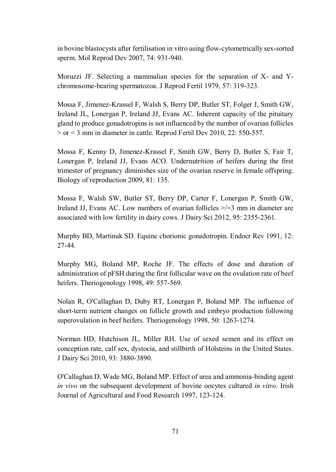in bovine blastocysts after fertilisation in vitro using flow-cytometrically sex-sorted sperm. Mol Reprod Dev 2007, 74: 931-940.

Moruzzi JF. Selecting a mammalian species for the separation of X- and Ychromosome-bearing spermatozoa. J Reprod Fertil 1979, 57: 319-323.

Mossa F, Jimenez-Krassel F, Walsh S, Berry DP, Butler ST, Folger J, Smith GW, Ireland JL, Lonergan P, Ireland JJ, Evans AC. Inherent capacity of the pituitary gland to produce gonadotropins is not influenced by the number of ovarian follicles  $>$  or = 3 mm in diameter in cattle. Reprod Fertil Dev 2010, 22: 550-557.

Mossa F, Kenny D, Jimenez-Krassel F, Smith GW, Berry D, Butler S, Fair T, Lonergan P, Ireland JJ, Evans ACO. Undernutrition of heifers during the first trimester of pregnancy diminishes size of the ovarian reserve in female offspring. Biology of reproduction 2009, 81: 135.

Mossa F, Walsh SW, Butler ST, Berry DP, Carter F, Lonergan P, Smith GW, Ireland JJ, Evans AC. Low numbers of ovarian follicles >/=3 mm in diameter are associated with low fertility in dairy cows. J Dairy Sci 2012, 95: 2355-2361.

Murphy BD, Martinuk SD. Equine chorionic gonadotropin. Endocr Rev 1991, 12: 27-44.

Murphy MG, Boland MP, Roche JF. The effects of dose and duration of administration of pFSH during the first follicular wave on the ovulation rate of beef heifers. Theriogenology 1998, 49: 557-569.

Nolan R, O'Callaghan D, Duby RT, Lonergan P, Boland MP. The influence of short-term nutrient changes on follicle growth and embryo production following superovulation in beef heifers. Theriogenology 1998, 50: 1263-1274.

Norman HD, Hutchison JL, Miller RH. Use of sexed semen and its effect on conception rate, calf sex, dystocia, and stillbirth of Holsteins in the United States. J Dairy Sci 2010, 93: 3880-3890.

O'Callaghan D, Wade MG, Boland MP. Effect of urea and ammonia-binding agent *in vivo* on the subsequent development of bovine oocytes cultured *in vitro*. Irish Journal of Agricultural and Food Research 1997, 123-124.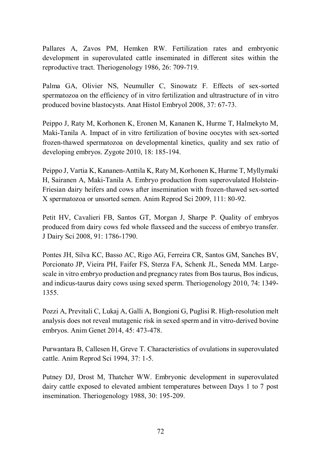Pallares A, Zavos PM, Hemken RW. Fertilization rates and embryonic development in superovulated cattle inseminated in different sites within the reproductive tract. Theriogenology 1986, 26: 709-719.

Palma GA, Olivier NS, Neumuller C, Sinowatz F. Effects of sex-sorted spermatozoa on the efficiency of in vitro fertilization and ultrastructure of in vitro produced bovine blastocysts. Anat Histol Embryol 2008, 37: 67-73.

Peippo J, Raty M, Korhonen K, Eronen M, Kananen K, Hurme T, Halmekyto M, Maki-Tanila A. Impact of in vitro fertilization of bovine oocytes with sex-sorted frozen-thawed spermatozoa on developmental kinetics, quality and sex ratio of developing embryos. Zygote 2010, 18: 185-194.

Peippo J, Vartia K, Kananen-Anttila K, Raty M, Korhonen K, Hurme T, Myllymaki H, Sairanen A, Maki-Tanila A. Embryo production from superovulated Holstein-Friesian dairy heifers and cows after insemination with frozen-thawed sex-sorted X spermatozoa or unsorted semen. Anim Reprod Sci 2009, 111: 80-92.

Petit HV, Cavalieri FB, Santos GT, Morgan J, Sharpe P. Quality of embryos produced from dairy cows fed whole flaxseed and the success of embryo transfer. J Dairy Sci 2008, 91: 1786-1790.

Pontes JH, Silva KC, Basso AC, Rigo AG, Ferreira CR, Santos GM, Sanches BV, Porcionato JP, Vieira PH, Faifer FS, Sterza FA, Schenk JL, Seneda MM. Largescale in vitro embryo production and pregnancy rates from Bos taurus, Bos indicus, and indicus-taurus dairy cows using sexed sperm. Theriogenology 2010, 74: 1349- 1355.

Pozzi A, Previtali C, Lukaj A, Galli A, Bongioni G, Puglisi R. High-resolution melt analysis does not reveal mutagenic risk in sexed sperm and in vitro-derived bovine embryos. Anim Genet 2014, 45: 473-478.

Purwantara B, Callesen H, Greve T. Characteristics of ovulations in superovulated cattle. Anim Reprod Sci 1994, 37: 1-5.

Putney DJ, Drost M, Thatcher WW. Embryonic development in superovulated dairy cattle exposed to elevated ambient temperatures between Days 1 to 7 post insemination. Theriogenology 1988, 30: 195-209.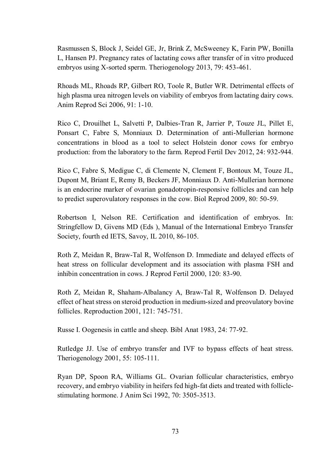Rasmussen S, Block J, Seidel GE, Jr, Brink Z, McSweeney K, Farin PW, Bonilla L, Hansen PJ. Pregnancy rates of lactating cows after transfer of in vitro produced embryos using X-sorted sperm. Theriogenology 2013, 79: 453-461.

Rhoads ML, Rhoads RP, Gilbert RO, Toole R, Butler WR. Detrimental effects of high plasma urea nitrogen levels on viability of embryos from lactating dairy cows. Anim Reprod Sci 2006, 91: 1-10.

Rico C, Drouilhet L, Salvetti P, Dalbies-Tran R, Jarrier P, Touze JL, Pillet E, Ponsart C, Fabre S, Monniaux D. Determination of anti-Mullerian hormone concentrations in blood as a tool to select Holstein donor cows for embryo production: from the laboratory to the farm. Reprod Fertil Dev 2012, 24: 932-944.

Rico C, Fabre S, Medigue C, di Clemente N, Clement F, Bontoux M, Touze JL, Dupont M, Briant E, Remy B, Beckers JF, Monniaux D. Anti-Mullerian hormone is an endocrine marker of ovarian gonadotropin-responsive follicles and can help to predict superovulatory responses in the cow. Biol Reprod 2009, 80: 50-59.

Robertson I, Nelson RE. Certification and identification of embryos. In: Stringfellow D, Givens MD (Eds ), Manual of the International Embryo Transfer Society, fourth ed IETS, Savoy, IL 2010, 86-105.

Roth Z, Meidan R, Braw-Tal R, Wolfenson D. Immediate and delayed effects of heat stress on follicular development and its association with plasma FSH and inhibin concentration in cows. J Reprod Fertil 2000, 120: 83-90.

Roth Z, Meidan R, Shaham-Albalancy A, Braw-Tal R, Wolfenson D. Delayed effect of heat stress on steroid production in medium-sized and preovulatory bovine follicles. Reproduction 2001, 121: 745-751.

Russe I. Oogenesis in cattle and sheep. Bibl Anat 1983, 24: 77-92.

Rutledge JJ. Use of embryo transfer and IVF to bypass effects of heat stress. Theriogenology 2001, 55: 105-111.

Ryan DP, Spoon RA, Williams GL. Ovarian follicular characteristics, embryo recovery, and embryo viability in heifers fed high-fat diets and treated with folliclestimulating hormone. J Anim Sci 1992, 70: 3505-3513.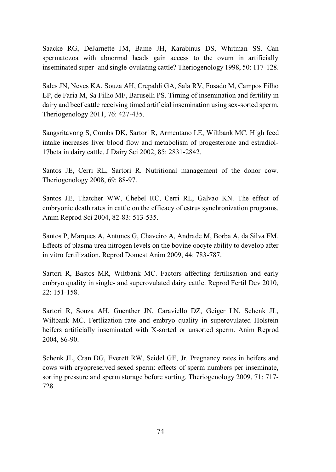Saacke RG, DeJarnette JM, Bame JH, Karabinus DS, Whitman SS. Can spermatozoa with abnormal heads gain access to the ovum in artificially inseminated super- and single-ovulating cattle? Theriogenology 1998, 50: 117-128.

Sales JN, Neves KA, Souza AH, Crepaldi GA, Sala RV, Fosado M, Campos Filho EP, de Faria M, Sa Filho MF, Baruselli PS. Timing of insemination and fertility in dairy and beef cattle receiving timed artificial insemination using sex-sorted sperm. Theriogenology 2011, 76: 427-435.

Sangsritavong S, Combs DK, Sartori R, Armentano LE, Wiltbank MC. High feed intake increases liver blood flow and metabolism of progesterone and estradiol-17beta in dairy cattle. J Dairy Sci 2002, 85: 2831-2842.

Santos JE, Cerri RL, Sartori R. Nutritional management of the donor cow. Theriogenology 2008, 69: 88-97.

Santos JE, Thatcher WW, Chebel RC, Cerri RL, Galvao KN. The effect of embryonic death rates in cattle on the efficacy of estrus synchronization programs. Anim Reprod Sci 2004, 82-83: 513-535.

Santos P, Marques A, Antunes G, Chaveiro A, Andrade M, Borba A, da Silva FM. Effects of plasma urea nitrogen levels on the bovine oocyte ability to develop after in vitro fertilization. Reprod Domest Anim 2009, 44: 783-787.

Sartori R, Bastos MR, Wiltbank MC. Factors affecting fertilisation and early embryo quality in single- and superovulated dairy cattle. Reprod Fertil Dev 2010, 22: 151-158.

Sartori R, Souza AH, Guenther JN, Caraviello DZ, Geiger LN, Schenk JL, Wiltbank MC. Fertlization rate and embryo quality in superovulated Holstein heifers artificially inseminated with X-sorted or unsorted sperm. Anim Reprod 2004, 86-90.

Schenk JL, Cran DG, Everett RW, Seidel GE, Jr. Pregnancy rates in heifers and cows with cryopreserved sexed sperm: effects of sperm numbers per inseminate, sorting pressure and sperm storage before sorting. Theriogenology 2009, 71: 717- 728.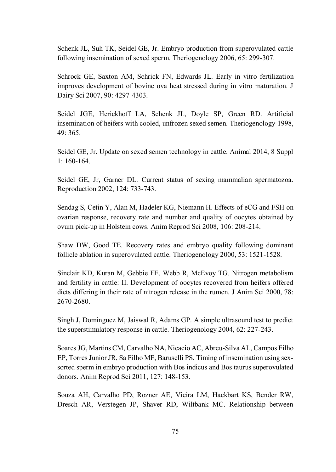Schenk JL, Suh TK, Seidel GE, Jr. Embryo production from superovulated cattle following insemination of sexed sperm. Theriogenology 2006, 65: 299-307.

Schrock GE, Saxton AM, Schrick FN, Edwards JL. Early in vitro fertilization improves development of bovine ova heat stressed during in vitro maturation. J Dairy Sci 2007, 90: 4297-4303.

Seidel JGE, Herickhoff LA, Schenk JL, Doyle SP, Green RD. Artificial insemination of heifers with cooled, unfrozen sexed semen. Theriogenology 1998, 49: 365.

Seidel GE, Jr. Update on sexed semen technology in cattle. Animal 2014, 8 Suppl 1: 160-164.

Seidel GE, Jr, Garner DL. Current status of sexing mammalian spermatozoa. Reproduction 2002, 124: 733-743.

Sendag S, Cetin Y, Alan M, Hadeler KG, Niemann H. Effects of eCG and FSH on ovarian response, recovery rate and number and quality of oocytes obtained by ovum pick-up in Holstein cows. Anim Reprod Sci 2008, 106: 208-214.

Shaw DW, Good TE. Recovery rates and embryo quality following dominant follicle ablation in superovulated cattle. Theriogenology 2000, 53: 1521-1528.

Sinclair KD, Kuran M, Gebbie FE, Webb R, McEvoy TG. Nitrogen metabolism and fertility in cattle: II. Development of oocytes recovered from heifers offered diets differing in their rate of nitrogen release in the rumen. J Anim Sci 2000, 78: 2670-2680.

Singh J, Dominguez M, Jaiswal R, Adams GP. A simple ultrasound test to predict the superstimulatory response in cattle. Theriogenology 2004, 62: 227-243.

Soares JG, Martins CM, Carvalho NA, Nicacio AC, Abreu-Silva AL, Campos Filho EP, Torres Junior JR, Sa Filho MF, Baruselli PS. Timing of insemination using sexsorted sperm in embryo production with Bos indicus and Bos taurus superovulated donors. Anim Reprod Sci 2011, 127: 148-153.

Souza AH, Carvalho PD, Rozner AE, Vieira LM, Hackbart KS, Bender RW, Dresch AR, Verstegen JP, Shaver RD, Wiltbank MC. Relationship between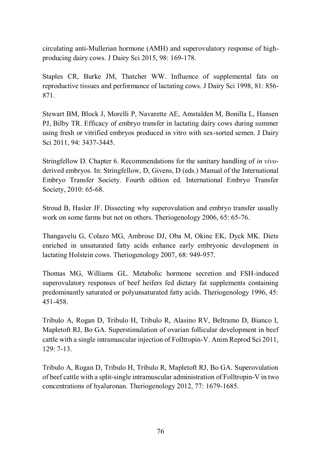circulating anti-Mullerian hormone (AMH) and superovulatory response of highproducing dairy cows. J Dairy Sci 2015, 98: 169-178.

Staples CR, Burke JM, Thatcher WW. Influence of supplemental fats on reproductive tissues and performance of lactating cows. J Dairy Sci 1998, 81: 856- 871.

Stewart BM, Block J, Morelli P, Navarette AE, Amstalden M, Bonilla L, Hansen PJ, Bilby TR. Efficacy of embryo transfer in lactating dairy cows during summer using fresh or vitrified embryos produced in vitro with sex-sorted semen. J Dairy Sci 2011, 94: 3437-3445.

Stringfellow D. Chapter 6. Recommendations for the sanitary handling of *in vivo*derived embryos. In: Stringfellow, D, Givens, D (eds.) Manual of the International Embryo Transfer Society. Fourth edition ed. International Embryo Transfer Society, 2010: 65-68.

Stroud B, Hasler JF. Dissecting why superovulation and embryo transfer usually work on some farms but not on others. Theriogenology 2006, 65: 65-76.

Thangavelu G, Colazo MG, Ambrose DJ, Oba M, Okine EK, Dyck MK. Diets enriched in unsaturated fatty acids enhance early embryonic development in lactating Holstein cows. Theriogenology 2007, 68: 949-957.

Thomas MG, Williams GL. Metabolic hormone secretion and FSH-induced superovulatory responses of beef heifers fed dietary fat supplements containing predominantly saturated or polyunsaturated fatty acids. Theriogenology 1996, 45: 451-458.

Tribulo A, Rogan D, Tribulo H, Tribulo R, Alasino RV, Beltramo D, Bianco I, Mapletoft RJ, Bo GA. Superstimulation of ovarian follicular development in beef cattle with a single intramuscular injection of Folltropin-V. Anim Reprod Sci 2011, 129: 7-13.

Tribulo A, Rogan D, Tribulo H, Tribulo R, Mapletoft RJ, Bo GA. Superovulation of beef cattle with a split-single intramuscular administration of Folltropin-V in two concentrations of hyaluronan. Theriogenology 2012, 77: 1679-1685.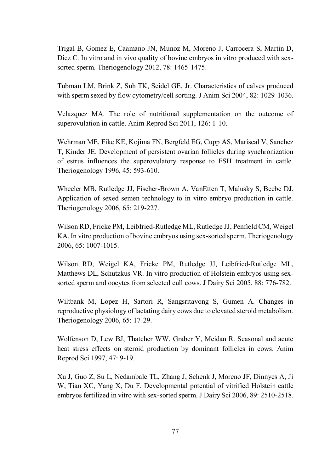Trigal B, Gomez E, Caamano JN, Munoz M, Moreno J, Carrocera S, Martin D, Diez C. In vitro and in vivo quality of bovine embryos in vitro produced with sexsorted sperm. Theriogenology 2012, 78: 1465-1475.

Tubman LM, Brink Z, Suh TK, Seidel GE, Jr. Characteristics of calves produced with sperm sexed by flow cytometry/cell sorting. J Anim Sci 2004, 82: 1029-1036.

Velazquez MA. The role of nutritional supplementation on the outcome of superovulation in cattle. Anim Reprod Sci 2011, 126: 1-10.

Wehrman ME, Fike KE, Kojima FN, Bergfeld EG, Cupp AS, Mariscal V, Sanchez T, Kinder JE. Development of persistent ovarian follicles during synchronization of estrus influences the superovulatory response to FSH treatment in cattle. Theriogenology 1996, 45: 593-610.

Wheeler MB, Rutledge JJ, Fischer-Brown A, VanEtten T, Malusky S, Beebe DJ. Application of sexed semen technology to in vitro embryo production in cattle. Theriogenology 2006, 65: 219-227.

Wilson RD, Fricke PM, Leibfried-Rutledge ML, Rutledge JJ, Penfield CM, Weigel KA. In vitro production of bovine embryos using sex-sorted sperm. Theriogenology 2006, 65: 1007-1015.

Wilson RD, Weigel KA, Fricke PM, Rutledge JJ, Leibfried-Rutledge ML, Matthews DL, Schutzkus VR. In vitro production of Holstein embryos using sexsorted sperm and oocytes from selected cull cows. J Dairy Sci 2005, 88: 776-782.

Wiltbank M, Lopez H, Sartori R, Sangsritavong S, Gumen A. Changes in reproductive physiology of lactating dairy cows due to elevated steroid metabolism. Theriogenology 2006, 65: 17-29.

Wolfenson D, Lew BJ, Thatcher WW, Graber Y, Meidan R. Seasonal and acute heat stress effects on steroid production by dominant follicles in cows. Anim Reprod Sci 1997, 47: 9-19.

Xu J, Guo Z, Su L, Nedambale TL, Zhang J, Schenk J, Moreno JF, Dinnyes A, Ji W, Tian XC, Yang X, Du F. Developmental potential of vitrified Holstein cattle embryos fertilized in vitro with sex-sorted sperm. J Dairy Sci 2006, 89: 2510-2518.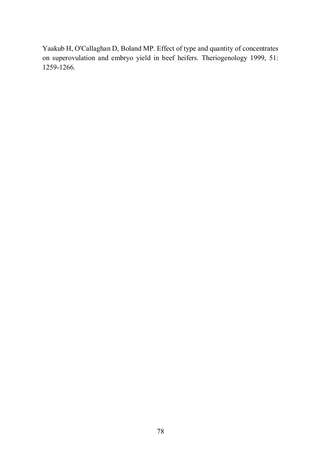Yaakub H, O'Callaghan D, Boland MP. Effect of type and quantity of concentrates on superovulation and embryo yield in beef heifers. Theriogenology 1999, 51: 1259-1266.